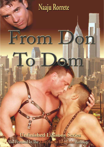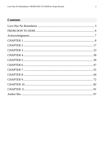# **Contents**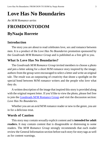# <span id="page-2-0"></span>**Love Has No Boundaries**

#### *An M/M Romance series*

# **FROMDONTODOM ByNaaju Rorrete**

# **Introduction**

The story you are about to read celebrates love, sex and romance between men. It is a product of the *Love Has No Boundaries* promotion sponsored by the *Goodreads M/M Romance Group* and is published as a free gift to you.

# **What Is Love Has No Boundaries?**

The *Goodreads M/M Romance Group* invited members to choose a photo and pen a letter asking for a short M/M romance story inspired by the image; authors from the group were encouraged to select a letter and write an original tale. The result was an outpouring of creativity that shone a spotlight on the special bond between M/M romance writers and the people who love what they do.

A written description of the image that inspired this story is provided along with the original request letter. If you'd like to view the photo, please feel free to join the [Goodreads M/M Romance Group](http://www.goodreads.com/group/show/20149-m-m-romance) and visit the discussion section: *Love Has No Boundaries*.

Whether you are an avid M/M romance reader or new to the genre, you are in for a delicious treat.

## **Words of Caution**

This story may contain sexually explicit content and is **intended for adult readers.** It may contain content that is disagreeable or distressing to some readers. The *M/M Romance Group* strongly recommends that each reader review the General Information section before each story for story tags as well as for content warnings.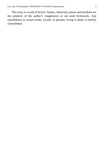This story is a work of fiction. Names, characters, places and incidents are the products of the author's imagination or are used fictitiously. Any resemblance to actual events, locales, or persons, living or dead, is entirely coincidental.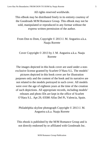All rights reserved worldwide.

This eBook may be distributed freely in its entirety courtesy of the Goodreads M/M Romance Group. This eBook may not be sold, manipulated or reproduced in any format without the express written permission of the author.

### From Don to Dom, Copyright © 2013 J. M. Angueira a.k.a. Naaju Rorrete

## Cover Copyright © 2013 by J. M. Angueira a.k.a. Naaju Rorrete

The images depicted in this book cover are used under a nonexclusive license granted by Scarlett O'Hara S.L. The models' pictures depicted in this book cover are for illustration purposes only and the content of the book and its narrative are not related to the models portrayed in such cover. All models were over the age of eighteen years at the time of the creation of such depictions. All appropriate records, including models' releases and photo IDs are kept in the office of Scarlett O'Hara S.L. Apt 29, 03580 Alfas Del Pi, Valencia, Spain.

Philadelphia skyline photograph Copyright © 2013 J. M. Angueira a.k.a. Naaju Rorrete

This ebook is published by the M/M Romance Group and is not directly endorsed by or affiliated with Goodreads Inc.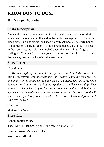# <span id="page-5-0"></span>**FROM DON TO DOM By Naaju Rorrete**

## **Photo Description**

Against the backdrop of a plain, white brick wall, a man with short dark hair sits on a modern sofa, flanked by two naked younger men. He wears a black dress shirt and slacks, and short shiny black boots. The curly-haired young man on the right lies on his side, knees tucked up, and has his head in the man's lap, his right hand tucked under the man's thigh, fingers curling up. On the left, the other young man leans on one elbow to look at the camera, leaning back against the man's chest.

#### **Story Letter**

#### *Dear Author,*

*My name is fifth-generation Sicilian, passed down from father to son. Just like my profession. Mob boss with the Cosa Nostra. These are my boys. The one to my right is strong-willed and needs a firm hand. The one to my left is damaged and fragile, and requires more patience than I have most days. They have each other, which is good because we're at war with a rival family, and my time to devote to them is not enough, never enough. I fear one or both will become a target. A way to hurt me where I live, where I love and from which I'd never recover.*

*Sincerely,*

*Moderaterix Lori*

### **Story Info**

**Genre:** contemporary

**Tags:** M/M/M, BDSM, twinks, hurt/comfort, mafia, D/s

**Content warnings:** some violence

Word count: 28,534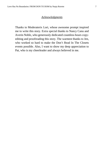#### *Acknowledgments*

<span id="page-6-0"></span>Thanks to Moderaterix Lori, whose awesome prompt inspired me to write this story. Extra special thanks to Nancy Canu and Averin Noble, who generously dedicated countless hours copyediting and proofreading this story. The warmest thanks to Jen, who worked so hard to make the Don't Read In The Closets events possible. Also, I want to show my deep appreciation to Pat, who is my cheerleader and always believed in me.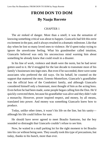# **FROM DON TO DOM By Naaju Rorrete**

#### CHAPTER 1

<span id="page-7-0"></span>The air reeked of danger. More than a smell, it was the sensation of knowing something critical was about to happen. Giancarlo had felt this eerie excitement in the past, and it always resulted in a dramatic milestone. Like that day when he lost so many loved ones to violence. He'd spent today trying to ignore the unwelcome feeling. What his grandmother called intuition, Giancarlo believed was only his unconscious mind warning him about something he already knew that could result in a disaster.

In his line of work, violence and death were the norm, but he had never gotten used to it. He'd struggled for the last decade to transmute most of his family's businesses into legit ones. But even if he succeeded, there were some associates who preferred the old ways. On his behalf, he counted on the support that mattered the most. Ernesto Montefiore, Giancarlo's grandfather was the official boss of the Condottieri family, and although Giancarlo considered himself only a lieutenant, most thought of him as the acting boss. Even before he had been made, some people began calling him the Don. He'd quickly corrected them, because his grandfather was alive and they didn't rule a monarchy. However, power inspired respect, and money, by all means, translated into power. And money was something Giancarlo knew how to produce.

Today, unlike other times, it wasn't his life on the line, but his sanity although his life could follow for sure.

He should have never agreed to meet Braulio Santorno, but the boy sounded so distraught that Giancarlo couldn't refuse to see him.

Now, he waited in a mall parking lot for the right moment to let Braulio into his car without being seen. They usually took this type of precautions, but today, thanks to his hunch, more than ever.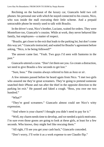Reclining on the backseat of the luxury car, Giancarlo held two cell phones: his personal one with which he stayed connected to his cousin, Nico, who was inside the mall executing their little scheme. And a prepaid untraceable phone he mostly used to talk with Braulio.

In the driver's seat, Nico's brother, Luciano, waited for orders. They were Montefiore too, Giancarlo's cousins. While at work, they never behaved like family, but employees—a matter of respect.

"Braulio, get closer to the exit that leads to the parking lot, but don't come this way yet." Giancarlo instructed, and waited for Braulio's agreement before asking, "Nico, is he being followed?"

The answer came fast. "Yeah. Two guys I'd seen with Santorno in the past."

Giancarlo uttered a curse. "Don't let them see you. Go create a distraction, we need to give Braulio a few seconds to get lost."

"Sure, boss." The cousins always referred to him as *boss* or *sir*.

A few minutes passed before he heard again from Nico. "I met two girls who assured me they're great screamers. They're going to pretend someone snatched their iPhone and run after the thief in the opposite direction to the parking lot exit." He paused and faked a cough. "Boss, you owe me two hundred."

"What?"

"They're good screamers." Giancarlo almost could see Nico's witty expression.

"And where is your charm? I thought you didn't need to pay for it."

"Well, my charm needs time to develop, and we needed a quick motivator. I'm sure even those goons are going to look at these girls, at least for a few seconds. Who knows, they might feel like rescuing them."

"All right, I'll see you get your cash back," Giancarlo conceded.

"Don't worry, I'll write it as a work expense to see Claudio flip."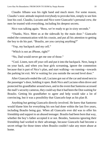Claudio Albano was his right hand and much more. For some reason, Claudio's stoic attitude inspired everybody to provoke him, simply to see him lose his cool. Claudio, Luciano and Nico were Giancarlo's personal crew, the men he trusted with everything, including his deepest secrets.

Nico was talking again. "Boss, we're ready to go in sixty seconds."

"Thanks, Nico. Meet us at the sidewalk by the main door." Giancarlo ended the communication with his cousin, and put all his attention to getting the boy to do his part. "Braulio, are you carrying anything?"

"Yep, my backpack and my cell."

"Which is not an iPhone, right?"

"No, Dad would never get me one of those."

"Cool. Listen, turn off your cell and put it into the backpack. Next, hang it on your back, and when you hear girls screaming, ignore the commotion because that is part of Nico's plan, and start walking—no running—towards the parking lot exit. We're waiting for you outside the second level door."

After Giancarlo ended the call, Luciano got out of the car and stood next to the passenger's door, holding it open. Both Nico and Luciano often drove and protected his grandfather around town, and in the event that Santorno accessed the mall's security cameras, they could say that it had been the Don waiting for Braulio. Getting his grandfather to agree and help would take a lot of convincing, but it was a possibility that Giancarlo kept as his plan B.

Anything but getting Giancarlo directly involved. He knew that Santorno would blame him for everything his son had done within the last five years, including Braulio being gay. When all Giancarlo ever did was to offer his friendship and support to an abused teenager. Braulio had been born that way, whether the boy's father accepted it or not. Besides, Santorno ignoring their friendship had worked to their advantage, because Giancarlo had become a secret refuge for those times when Braulio couldn't take any more abuse at home.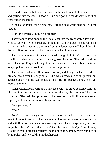He sighed with relief when he saw Braulio walking out of the mall's exit and getting into the car. As soon as Luciano got into the driver's seat, they were out on the street.

"Thanks so much for helping me." Braulio said while fussing with the seatbelt.

Giancarlo smiled at him. "No problem."

They stopped long enough for Nico to get into the front seat. "Hey, dude. Nice to see you." Nico's friendly smile told Giancarlo that he enjoyed these crazy runs, which were so different from the dangerous stuff they'd done in the past. Braulio smiled back at him and thanked him again.

The tinted windows of the car allowed enough light for Giancarlo to see Braulio's bruised face in spite of the sunglasses he wore. Giancarlo bet those hid a black eye. Fury ran through him, and he wanted to beat Fabian Santorno to a pulp. One day he would do it, that was a promise.

The bastard had raised Braulio in a cocoon, and thought he had the right of life and death over his only child. Who was already a grown-up man, but because of the way he was treated all his life, still behaved like a teenager most of the time.

When Giancarlo saw Braulio's hurt face, with his brave expression, he felt like holding him in his arms and assuring the boy that he would be safe, protected. Giancarlo had promised to be there for Braulio if he ever needed support, and he always honored his promises.

"Are you okay?"

"Yes."

For Giancarlo it was getting harder to resist the desire to touch the young man in front of the others. His cousins sort of knew the type of relationship he had with Braulio, but Giancarlo was always careful not to express any feelings in public. His logic was that if he got in the habit of hugging and kissing Braulio in front of those he trusted, he might do the same carelessly in public by impulse, and he couldn't let that happen.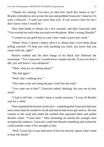"Thanks for coming. You have no idea how much this means to me." Braulio extended an arm across the seat and grabbed Giancarlo's hand as if it were a lifesaver. "I need you more than ever. If you weren't here for me I don't know what I would do."

They held hands in silence for a few seconds, and then Giancarlo said, "You worried me with what you said over the phone. What's wrong, Braulio?"

"I wanted to say good-bye in case I don't make it past next week."

"What? Wait, it doesn't matter what it is, please don't even think about killing yourself. I'll help you with anything you need, you know that you count with me, right?"

Braulio nodded and the short bangs of his black hair followed the movement. "Yes. Giancarlo, I would never commit suicide. If you ever hear I did, you will know I was murdered."

"Then, what are we talking about?"

"My dad again."

"Well, that's nothing new."

"This time is the real thing because I told him the truth."

"You came out to him?" Giancarlo asked, thinking, *Are you out of your mind?*

"I had to tell him, I couldn't keep it inside anymore." It was all Braulio said for a while.

That explained the bruises on his face—something that Giancarlo had seen more times than he wanted to recall and that he had never got used to. He sent caution to the wind and undid the seatbelt that separated them and pulled Braulio closer. "Come here." After hesitating an instant the younger man accepted the embrace. Giancarlo could feel Braulio trembling and wished he could transfer some of his strength to him.

"Well, if your face is any indication of how he reacted, I guess I don't need to hear the details."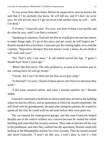"It was worse than other times. Before he suspected it, now he knows. He said that if I let anybody else know, he will kill me, and if I don't do as he says, he will kill me, that if I get involved with another man, he will… well, I'm dead."

"I'm sorry," Giancarlo said. "For now, you have to keep a low profile and do what he says, until I can find a solution."

"Speaking of solutions, Dad told me that he would give me one last chance to make things right. If I go to this place and get cured, he will forgive me." Braulio handed him a brochure. Giancarlo put the reading lights on to read the contents. "Reparative therapy? But that doesn't work. I mean, do you think it will work with you?"

"No. That's why I ran away." A sad smiled curved his lips. "I guess I should have done it years ago."

"Better late than never. The only problem is, as soon as he realizes you're not coming back, he will go insane."

"I know, but I can't let them put me thru an ex-gay camp."

"Is that bad? I'm sorry, I heard of those places, but I have no idea how they work."

"I did some research online, and what I learned repulses me." Braulio added.

Giancarlo continued to hold him in silence until they arrived at the building where he had his offices, and an apartment at which he stayed sometimes. He still lived with his grandparents, because after losing his parents, he wanted to spend all the time he could with his old ones before they were gone too.

The car entered the underground garage, and this time Giancarlo helped Braulio out of the vehicle without any concern because he owned the whole building and controlled the security cameras. They rode an elevator all the way to the penthouse, and after they walked into the apartment, Braulio stood still looking at the Philadelphia skyline for a few seconds. Then he turned around and faced Giancarlo. "I won't do like you. I won't deny it, and if I find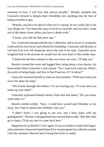someone to love, I will love that person proudly." Braulio resented that Giancarlo refused to deepen their friendship into anything else for fear of being revealed as gay.

"Braulio, you have no idea of what you're saying. In our world, this is the way things are. You keep this type of secret to yourself, and you don't come out of the damn closet unless you have a death wish."

"I know, you told me that years ago."

Yes, Giancarlo had guessed the boy's dilemma, and in an act of sympathy confessed his own secret and offered his friendship. Giancarlo told Braulio to call him if he ever felt desperate and at the end of his rope. Giancarlo never imagined that in the process he would lose his own heart to this tender man.

"I think that the best solution is that you move out west. I'll help you."

Braulio crossed the room and hugged him, being about a foot shorter, his head ended where Giancarlo's chin started. "No. I want to be with you. What's the point of being happy and free in San Francisco if I'm alone?"

Giancarlo lowered himself to a face-to-face position. "With your looks you won't be alone for long."

"We'd been through this before. I'm not leaving you. I'll wait until you make up your mind."

Giancarlo separated himself slowly from him and asked, "Do you know what today is?"

Braulio smiled widely. "Sure. I could have waited until Monday to run away, but I had to spend your birthday with you."

"I didn't know I was going to see you, and I have plans with my grandparents." Braulio's disappointed face moved him to add, "But after they go to sleep, I'll do my best to come back here."

Happiness lit up Braulio's face again. It was so simple to make him happy, and sometimes Giancarlo hated himself for not giving the boy what he wanted. Like this moment when he had to bring him back to reality.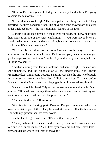"Braulio, I'm thirty years old today, and I already decided how I'm going to spend the rest of my life."

"In the damn closet, right? Did you patent the thing or what?" Fury distorted Braulio's handsome face. His olive skin-tone showed off blue eyes under thick eyebrows—the most dominant feature of his face.

Giancarlo could lose himself in those eyes for hours, but now, he evaded them and sat on one of the sofas, explaining, "If you were anybody else it should be harder to understand my position, but you know what it means to be out for me. It's a death sentence."

"No. It's playing along to the prejudices and macho ways of others. You've accomplished so much! Even Dad praised you, he can't believe you got the organization back into Atlantic City, and what you accomplished in Philly is awesome."

And that, coming from Fabian Santorno, had some weight. The man was short-tempered, and the bloodiest of all the underbosses, but Ernesto Montefiore kept him around because Santorno was also the one who brought in the most cash from their long list of illicit enterprises. That was before Giancarlo got the Family back into legal gambling in the casinos, though.

Giancarlo shook his head. "My success makes me more vulnerable. Don't you see it? If I am known as gay, those who want to take over our territory will use it as an excuse to kill me. It's happened before."

"That was in the past." Braulio said.

"We live in the fucking past, Braulio. Do you remember when the associates visited your father? They behaved like we are still in the feudal era. And with my grandfather, it's even worse."

Braulio had to agree with that. "It's a matter of respect."

"There you have it." Giancarlo sighed deeply, opening his arms wide, and told him in a kinder manner, "You know your way around here, relax, take it easy and decide where you want to move to."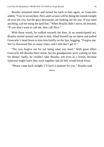Braulio remained silent and turned his back to him again, so Giancarlo added, "You're secure here. Nico and Luciano will be doing the rounds tonight all over the city, but the guys downstairs are looking out for you. If you need anything, call me using the land line." When Braulio didn't move, he insisted, "If you don't want to call me, then call Nico."

With those words, he walked towards the door. In an unanticipated act, Braulio turned around and ran to him, lifted himself up on tiptoe and pulled Giancarlo's head down to kiss him briefly on the lips, begging, "Forgive me. We've discussed this so many times, and I still don't get it."

"No, you forgive me for not being what you need." With great effort Giancarlo left Braulio there alone, but his grandparents were waiting on him for dinner. Sadly, he couldn't take Braulio, not even as a friend, because Santorno might learn they were together and all hell would break loose.

"Please come back tonight, I'll have a surprise for you." Braulio said.

\*\*\*\*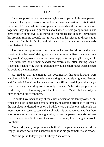#### CHAPTER 2

<span id="page-16-0"></span>It was supposed to be a quiet evening in the company of his grandparents. Giancarlo had good reasons to decline a huge celebration of his thirtieth birthday. He'd learned his lesson years before—when the whole family was together, they kept asking questions about when he was going to marry and have children of his own. Like they didn't reproduce fast enough, they needed his progeny running around, too. It was a theme he refused to discuss at all costs, but family is family and his were nosy by nature—shamelessly speculative, to be exact.

The more they questioned him, the more inclined he felt to stand up and shout out that he wasn't dating any woman because he liked men, and since they wouldn't approve of a same-sex marriage, he wasn't going to marry at all. He'd fantasized about their scandalized expressions after hearing such a statement, but knowing that his grandfather would be hurt rather than shocked, he avoided the temptation.

He tried to pay attention to the documentary his grandparents were watching while he sat there with them eating nuts and sipping wine. Ernesto and Carmela Montefiore had celebrated their fiftieth wedding anniversary a few months ago, and they were not only Giancarlo's favorite people in the world, they were also living proof that love existed. Maybe that was why he liked to spend time with them.

He could have been at any of the clubs or casinos his family owned, but when one's job is managing entertainment and gaming offerings of all types, the last place he desired to be on a birthday was a public one. Although the most important reason to spend the night with his grandparents was that there was nobody else to share the night with, or that the person he preferred was out of the question. So this was the closest to a homey kind of night he would ever have.

"Giancarlo, can you get another bottle?" His grandfather extended the empty Prosecco bottle and Giancarlo took it as his grandmother also stood.

"Let me get it, today is your birthday," she offered.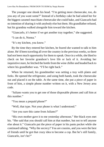The younger one shook his head. "I'm getting more cheesecake, too, do you any of you want some?" Instead of a birthday cake he had asked her for the biggest caramel macchiato cheesecake she could bake, and Giancarlo had no intention of sharing it with anybody else but them. His grandfather refused, but his grandma walked alongside him toward the kitchen.

"Giancarlo, it's better if we get another tray together," she suggested.

"I can do it, Nonna."

"It's my kitchen, you know."

By the time they entered her kitchen, he feared she wanted to talk to him alone. He'd been traveling all over the country in the previous weeks, so there had not been much opportunity for them to speak. Once in a while, she liked to check on her favorite grandson's love life or lack of it. Avoiding her inquisitive stare, he fetched the bottle from the wine chiller and headed back to where his grandfather was. "I'll be right back."

When he returned, his grandmother was setting a tray with plates and forks. He opened the refrigerator, and using both hands, took the cheesecake out and placed it on the table. At the same time, she put a piece of paper in front of him, a simple phone number written on it, with a New Jersey area code.

"Juliano wants you to get one of those disposable phones and call him at this number."

"You mean a prepaid phone?"

"Well, that type. Not your phone is what I understood."

"Are you sure this came from Juliano?"

"His own mother gave it to me yesterday afternoon." Her black eyes met his. "She said that you should call him at that number, but not to tell anyone else about it." Giancarlo put the piece of paper in his pants pocket while she continued talking. "Why the secrecy? You are cousins, and you were the best of friends until he got that crazy idea to become a cop. But he's still family, Giancarlo, isn't he?"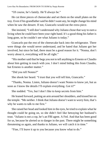"Of course, he's family. He'll always be."

He cut three pieces of cheesecake and set them on the small plates on the tray. Even if his grandfather said he didn't want any, he might change his mind when he saw the dessert. If not, Giancarlo would eat the extra piece.

She insisted, "I still don't understand why Juliano chose that way to earn a living when he could have been your right hand. It's a good thing his father is long gone, so he couldn't see what Juliano is today."

Giancarlo put the rest of the cheesecake back into the refrigerator. There were things she would never understand, and he hated that Juliano got her involved, but since he had, there must be a good reason for it. "Nonna, don't worry about it, everything will be all right."

"His mother said that he begs you not to tell anything to Ernesto or Claudio about him getting in touch with you. I don't mind hiding this from Claudio, but Ernesto is another matter."

"Did you tell Nonno?"

She shook her heard. "I trust that you will tell him, Giancarlo."

"Thanks, Nonna. Listen, Juliano doesn't want Nonno to know yet, but as soon as I know the details I'll explain everything. Got it?"

She nodded. "Yes, but I don't like to keep secrets from him."

He leaned forward, putting an arm around her shoulders, and kissed her on the temple. "Me neither. I think that Juliano doesn't want to worry him, that's why he wants to talk to me first."

She raised her head and looked him in the eyes, he tried to explain what he thought could be going on, so she didn't feel like betraying her husband's trust. "Juliano is not a cop, he's an FBI agent. A Fed. And that has been good for us, because he alerted us to danger in the past. There might be something threatening us again, and thanks to Juliano, we will catch it in time."

"Fine, I'll leave it up to you because you know what to do."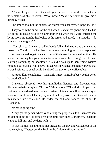"Thanks for your trust." Giancarlo gave her one of his smiles that he knew no female was able to resist. "Who knows? Maybe he wants to give me a birthday present."

She smiled too, but the expression didn't reach her eyes. "I hope so, too."

They were in the middle of the hall when Giancarlo's phone rang. He had left it on the couch next to his grandfather, so when they were entering the living room his grandfather looked at the screen and asked, "It's Claudio— do you want me to get it?"

"Yes, please." Giancarlo had his hands full with the tray, and there was no reason for Claudio to call at that hour unless something important happened, or the man wanted to get Giancarlo out of the house for personal motives. He knew that asking his grandfather to answer was also risking the old man learning something he shouldn't if Claudio was up to something wicked tonight, but refusing would have looked weird. Giancarlo silently prayed that it was business as usual while he placed the tray on the coffee table.

His grandfather explained, "Giancarlo is next to me, but busy, so this better be good, Claudio."

Giancarlo observed how his grandfather listened and frowned with displeasure before saying. "No, no. Wait a second." The kindly old patrician features switched to don mode in an instant. "Giancarlo will be on his way as soon as possible, and Claudio, pay attention to my words, let Giancarlo handle this matter, are we clear?" He ended the call and handed the phone to Giancarlo.

"What is going on?"

"They got the person who's vandalizing the properties. It's Gazzara's son, no doubt about it." He raised his eyes until they met Giancarlo's. "Claudio wants to kill him and be done with it."

In that moment his grandmother picked up the tray and walked out of the room saying, "I better put this back in the fridge until your return."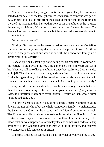Neither of them said anything else until she was gone. They both knew she hated to hear details of the family business when harm to someone was part of it. Giancarlo took his holster from the closet at the far end of the room and checked his handgun, then he stood in front of his grandfather as he adjusted the straps, explaining, "Claudio has been after him for months now. The damage has been thousands of dollars, but the worst is the irreparable harm to our reputation."

"What do you mean?"

"Rodrigo Gazzara is also the person who has been stamping the Montefiore coat of arms on every property that we were not supposed to own. All those articles in the press about our association with the Condottieri family are a direct result of his graffiti."

Giancarlo put on his leather jacket, waiting for his grandfather's opinion on the matter. He didn't want the boy dead either, he'd met him years ago while his father was still one of his grandfather's underbosses. Before Gazzara ended up in jail. The older man handed his grandson a fresh glass of wine and said, "If that boy gets killed, I'll end the rest of my days in prison, and you know it. Giancarlo, remember that we have a deal with Gazzara to protect his family."

Yes, they did. In the past decades, most hit men who got caught betrayed their bosses, cooperating with the federal government and going into the Witness Protection Program to avoid prison. Because of that, whole crime families had gone down.

In Mario Gazzara's case, it could have been Ernesto Montefiore going down. And not only him, but the whole Condottieri family—which included the Santorno, the Gazzara, the Albano, and the Montefiore families as well. The Condottieris distinguished themselves from other families in La Cosa Nostra because they were blood relatives from those four families only. This blood relation was supposed to foment loyalty, and somehow it had worked up until now. Mario Gazzara didn't cooperate with the authorities, and received two consecutive life sentences in prison.

Giancarlo finished his wine and asked, "So what do you want me to do?"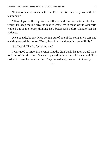"If Gazzara cooperates with the Feds he still can bury us with his testimony."

"Okay, I got it. Having his son killed would turn him into a rat. Don't worry, I'll keep the kid alive no matter what." With those words Giancarlo walked out of the house, thinking he'd better rush before Claudio lost his patience.

Once outside, he saw Nico getting out of one of the company's cars and walking toward the house. "Boss, there is a situation going on in Philly."

"So I heard. Thanks for telling me."

It was good to know that even if Claudio didn't call, his men would have told him of the situation. Giancarlo passed by him toward the car and Nico rushed to open the door for him. They immediately headed into the city.

\*\*\*\*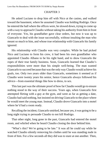#### CHAPTER 3

<span id="page-22-0"></span>He asked Luciano to drop him off with Nico at the casino, and walked toward the basement, where he assumed Claudio was holding Rodrigo. Once he entered the hall where the offices were, he slowed down, trying to come up with a way to approach Claudio without taking his authority from him in front of everyone. Yes, his grandfather gave clear orders, but now it was up to Giancarlo to deal with the issue successfully, without insulting the man who meant so much to him, and whose true relationship with Giancarlo his family ignored.

His relationship with Claudio was very complex. While he had picked Nico and Luciano to form his crew, it had been his own grandfather who appointed Claudio Albano to be his right hand, and to show Giancarlo the ropes of their true family business. Soon, Giancarlo learned that Claudio's responsibilities were more than his simple well-being. The man wanted Giancarlo to succeed because that was the only way Claudio would achieve his goals, too. Only two years older than Giancarlo, sometimes it seemed as if Claudio were twenty years his senior, hence Giancarlo always followed his advice—from essential things like how to dress, to sex.

This last part was the ultimate proof of how far Claudio would go to ensure nothing stood in the way of their success. Years ago, when Giancarlo first attempted flirting with a guy at the gym, and went as far as getting a date, Claudio had said nothing, but insisted on driving Giancarlo to the place where he would meet the young man. Instead, Claudio drove Giancarlo into a motel where he'd had a room ready.

Recalling the incident, Giancarlo smirked, because yes, it was going to be a long night trying to persuade Claudio to not kill Rodrigo.

That other night, long gone in the past, Giancarlo had entered the motel room, and whirled when he heard Claudio closing the door behind him.

"What's this? We're going to be late." It was all he could say while he watched Claudio silently removing his clothes until he was standing nude in front of him. For a few seconds all they did was to stare at one another. Then,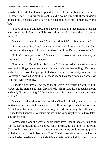slowly, Giancarlo had looked up and down the beautiful body he'd admired for some time. He knew the instant Claudio bound him with those invisible bonds of his, because with a curt nod he had moved to pull something from a bag.

"I have condoms and lube, and a gay sex manual. Since neither of us has ever done this before, it will be something we learn together, like other things."

Giancarlo had been in awe. "Are you serious? What about my date?"

"Forget about him. I look better than him and I know you like me. Yes, I've noticed the way you look at me when you think I'm not aware of it."

"I didn't know you were…" Giancarlo had broken off the comment, but continued to look him in the eyes.

"I am not, but I'm doing this for you," Claudio had answered, raising a hand and pulling Giancarlo down to his face, their breath mingling, "I'm doing it also for me. I won't let you get killed over this sexual kink of yours, and lose everything I worked so hard for all these years. Go ahead, touch, do whatever you want with my body."

Giancarlo hesitated a few seconds, but gave in because he wanted him. However, the moment he leant forward to kiss him, Claudio skipped his mouth and said, "Except kissing. We're having sex, this is not a romance, and never will be."

Giancarlo had his doubts. He knew that Claudio's loyalty was real, but the motives to become his lover were not. Still, he accepted what was offered. And Claudio had done it in the same way he did everything else, efficiently. He had taken Giancarlo's cock up his ass in the same way he would have taken a bullet for him.

Somewhere along the way, Claudio must have liked it, because his body showed its enthusiasm for the act. As for Giancarlo, he had fallen in love with Claudio, his first lover, and assumed that even if they could never go public with their affair, it could last years. Then Claudio met his wife and decided he wanted to be married and have kids. Giancarlo faked that it didn't hurt, like he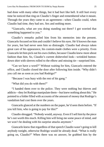had done with many other things, but it had hurt like hell. It still hurt every time he noticed that ring on Claudio's finger and remembered what it meant. Through the years they came to an agreement—when Claudio could, when Claudio had time, they had sex. Sex and nothing more.

"Giancarlo, what are you doing standing out there? I got worried that something happened to you."

Claudio's remarks pulled him from his memories into the present. Giancarlo focused on him and couldn't believe his eyes. He'd known the man for years, but had never seen him so distraught. Claudio had always taken great care of his appearance, his custom-made clothes were a priority. Even Giancarlo let him pick out his own clothes, because Claudio knew more about fashion than him. So, Claudio's current disheveled look—wrinkled buttondown shirt with sleeves rolled to the elbow and missing tie—surprised him.

"Can we have a word?" Without waiting for him, Giancarlo entered the office, and Claudio closed the door after following him inside. "Why didn't you call me as soon as you had Rodrigo?"

"Because I was busy with the rest of his gang."

"What did you do with them?"

"I handed them over to the police. They were nothing but thieves and addicts—they let Rodrigo manipulate them—but knew nothing about this." He pointed to a folder filled with accounts of the amount of money that Rodrigo's vandalism had cost them over the years.

Giancarlo glanced at the numbers on the paper, he'd seen them before. "If you kill him, who is going to pay for this?"

Claudio shrugged. "Nobody would, anyway. Even if I sell him by the piece he's not worth this much. Killing him will bring me some peace of mind, and we won't be dealing with his surprise attacks anymore."

Giancarlo knew that regardless of that speech Claudio wasn't going to kill anybody tonight, otherwise Rodrigo would be already dead. "What is really going on, Claudio?" When there was no answer, he grabbed him by the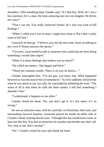shoulders. After breathing deep Claudio said, "It's that boy. Well, he's not a boy anymore, he's a man, the most annoying one you can imagine. He drives me crazy!"

"That I can see. You really unnerved Nonno, he's sure you want to kill Rodrigo."

"When I called you I was so mad, I might have done it. But I don't really want to kill him."

Giancarlo let him go. "I believe you, but the next time, insist on talking to me, even if Nonno answers the phone."

"I'm sorry, I just needed to talk to someone who could stop me from doing something I would later regret."

"What is it about Rodrigo that bothers you so much?"

"He called me names—like *faggot* and *bitch*."

"Those are common insults. There is no way he knows…"

Claudio interrupted him. "I'm not gay, you know that. What happened between us was because of the circumstances." As if he suddenly realized that what he was about to say was silly, he concluded by admitting the truth. "The worst of all is that when he calls me those names, I still feel something I shouldn't feel."

"I understand, it happens to me often."

Claudio shook his head, "No, you don't get it. It's this need—it's so wrong."

He was an attractive man, with his carefully cut blond hair, blue eyes, and outstanding classical features. Giancarlo placed his hands on either side of Claudio's head, looking into his eyes. "I thought this day would never come, at least not like this. You feel an attraction for another man besides me, that's all. Yes, look at me, that's normal."

"No." Claudio closed his eyes and shook his head.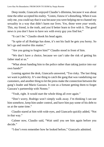Deep inside, Giancarlo enjoyed Claudio's dilemma, because it was about time the other accepted his reality. "Listen, I know it's disturbing. When it was only me, you could say that it was because you were helping me to channel my sexuality in a way that didn't harm our lives. Yes, those were *your* words. This, my friend, is the truth, and you'd better learn to live with it. The good news is you don't have to have sex with every guy you find hot."

"It can't be." Claudio shook his head again.

"In spite of all Rodrigo has done, it's not his fault he gets you horny. So let's go and resolve this matter."

"Are you going to forgive him?" Claudio stood in front of him.

"We don't have a choice, because we can't take the risk of getting his father mad at us"

"What about handing him to the police rather than taking justice into our own hands?"

Leaning against the desk, Giancarlo answered, "Too risky. The last thing we want is publicity. It's one thing to catch the gang that was vandalizing our customers, and another thing to let the press make the connection between the gang's leader and Mario Gazzara. It cost us a fortune getting them to forget Gazzara's partnership with Nonno."

"Yeah, right. It would start the whole thing all over again."

"Don't worry, Rodrigo won't simply walk away. I'm thinking I can use him somehow, keep him under control, and have him pay some of his debt to us at the same time."

Claudio stared at him with wide eyes, and Giancarlo quickly added, "Not in that way."

Calmer now, Claudio said, "Wait until you see him again before you decide."

"I don't even remember how he looked before," Giancarlo admitted.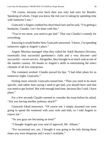"Of course, because even back then you only had eyes for Braulio. Speaking of whom, I hope you know the risk you're taking by spending time with Santorno's son."

Giancarlo's fingers combed his short black hair and he said, "I'm getting a headache, Claudio. Let's be done with this."

"You're too tense, you need to get laid." That was Claudio's remedy for everything.

Knowing it would bother him, Giancarlo answered, "I know, I'm spending tomorrow night at Angelo's place."

Angelo Messina managed what they called the Adult Business Division, essentially four successful gentlemen's clubs and a very discreet—and successful—escort service. Altogether, they brought in as much cash as one of the smaller casinos. All thanks to Angelo's skills in entertaining the select clientele of all five enterprises.

The comment worked. Claudio pursed his lips. "I had other plans for us tomorrow night, Giancarlo."

Feeling more relaxed, Giancarlo teased him. "Then you need to be more specific, and rather than saying I need to get laid, you should have said that you need to get fucked. But with enough lead time, because like I said, I have plans."

For a few seconds Claudio seemed to consider the issue before he asked, "Are you having another jealousy attack?"

Giancarlo faked innocence. "Of course not. I simply assumed you were going to spend the weekend with your wife and kids, so I told Angelo to expect me."

"So you guys are becoming an item?"

"I thought Angelo got your seal of approval, Mr. Albano."

"For occasional sex, yes. I thought it was going to be only during those times you were desperate and I wasn't available."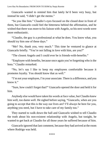Giancarlo wanted to remind him that lately he'd been very busy, but instead he said, "I didn't get the memo."

"So you like him." Claudio's eyes focused on the closed door in front of them, but Giancarlo could feel the bitterness behind the affirmation, and he wished that there was more to his liaison with Angelo, so his next words were more enthusiastic.

"Claudio, the guy is a professional at what he does. You know what, you should try him one of these days."

"Me? No, thank you, very much." This time he ventured to glance at Giancarlo briefly. "You're not falling in love with him, are you?"

"The closest Angelo and I could ever be is friends-with-benefits."

"Employee with benefits, because once again you're forgetting who is the boss." Claudio remarked.

"No, let's say I like to keep my employees comfortable because it promotes loyalty. You should know that as well."

"I'm not your employee, I'm your associate. There is a difference, and you know it."

"Sure, how could I forget that?" Giancarlo opened the door and held it for him.

Anybody else would have taken his words at face value, but Claudio knew him well, too damn well. He sighed before saying, "Giancarlo, when are you going to accept that this is the way our lives are? I'll always be here for you, anything you need, but I have to take care of my family too."

They started to walk down the hall and Giancarlo wished to tell Claudio the truth about his non-existent relationship with Angelo, but tonight, he wanted to get back at Claudio for all those years he suffered because of him.

Giancarlo ignored that last comment, because they had arrived at the room where Rodrigo was held.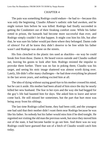#### CHAPTER 4

<span id="page-29-0"></span>The pain was something Rodrigo could endure—he had to—because this was only the beginning. Claudio Albano's sadistic side had awoken, and he might torture him before he was killed. Rodrigo had finally succeeded in getting the Condottieri out of their freaking comfort zone. While his father rotted in prison, the bastards had become more successful than ever, and Rodrigo simply couldn't let that happen. It might cost him his life, but after that, he was sure his father would put them where they belonged. Damn code of silence! For all he knew they didn't deserve to be free while his father wasn't and Rodrigo was alone on the streets.

His fists clenched in the plastic ties used as shackles—no way he could break free from those. Damn it. He heard voices outside and Claudio walked out, leaving his goons to look after him. Rodrigo resisted the impulse to provoke them further. There was no fun in poking them; Claudio was his target, and seeing his stoic image shattered was almost worth dying over. Lately, life didn't offer many challenges—he had done everything he pleased in the last seven years, and nothing excited him at all.

The idea of dying without saying good-bye to his mother crossed his mind, but he cast it aside. His mother had been afraid of him since the day he nearly killed her new husband. The fear in her eyes and the way she had begged for the guy's life had haunted him for days. She asked him to leave and never come back. He still missed her sometimes, but the part that hurt most was being away from his siblings.

The last time Rodrigo called home, they had been cold, and the youngest one had said that their mother didn't want them near Rodrigo because he was like his father. So nobody but his father would miss him if he died tonight. He regretted not visiting the old man the previous week, but since they moved him out of the state, it had become harder to go see him. And there was no way Rodrigo could have guessed that son of a bitch of Claudio would catch him today.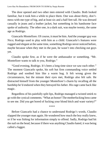The door opened and two other men entered with Claudio. Both looked familiar, but it took him a while to place them. One was about thirty, don'tmess-with-me type of big, and at least six and a half feet tall. He was dressed casually in jeans and a leather jacket, but something in his handsome face spoke of authority. The other one, in a dark suit, was maybe twenty, the same age as Rodrigo.

Giancarlo Montefiore. Of course, it must be him. And the younger guy was Nico; Rodrigo used to play with him as a child. Giancarlo's features were rugged and elegant at the same time, something Rodrigo never noticed before, maybe because when they met in the past, he wasn't into checking out guys yet.

Claudio spoke first, as if he were the ambassador or something. "Mr. Montefiore wants to talk to you, Rodrigo."

"Good evening, Rodrigo. It's been a long time since we saw each other." The moment Giancarlo spoke, his soft but firm commanding voice settled Rodrigo and soothed him like a warm hug. It felt wrong given the circumstances, but the minute their eyes met, Rodrigo also felt safe. He distracted himself from the younger Montefiore's charm by recalling all the hardship he'd endured when they betrayed his father. His rage came back like magic.

Regardless of his painfully split lips, Rodrigo managed a twisted smirk to go with the cynical comments. "What an honor! The motherfucking boss came to see me. Did you get bored of fucking your blond bitch and want variety?"

\*\*\*\*

Before Giancarlo had a chance to understand Rodrigo's words, Claudio slapped the younger man again. He wondered how much the boy really knew, or if he was fishing for information simply to offend. Sadly, Rodrigo had hit the nail on the head, because if there was anything Claudio hated, it was being called a faggot.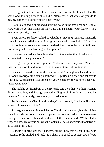Rodrigo sat tied into one of the office chairs, his beautiful face beaten. He spat blood, looking furious at Claudio. "Remember that whatever you do to me, my father will do to you ten times over."

Claudio laughed, a short and disturbing noise in the small room. "Really? How will he get his hands on me? Last thing I heard, your father is in a maximum security prison."

Even before Rodrigo replied to Claudio's mocking remarks, Giancarlo knew the answer. All the same, Rodrigo's menace distressed him. "He will be out in no time, as soon as he learns I'm dead. He'll go to the feds to tell them everything he knows. Nothing will stop him."

Claudio clenched his fist at his sides. "It's too late for that. It's the word of a convicted felon against ours."

Rodrigo's surprise seemed genuine. "Who said it was only words? Dad has evidence, lots of it, and murder doesn't have a statute of limitations."

Giancarlo moved closer to the pair and said, "Enough insults and threats for today. Rodrigo, stop being a hothead." He pulled up a chair and sat next to Rodrigo. "We need to discuss the mess you've made with your life since your father went away."

The look he got from both of them clearly said the other two didn't want to discuss anything, and Rodrigo seemed willing to die in order to achieve his revenge. What, exactly, was the boy so mad about?

Putting a hand on Claudio's shoulder, Giancarlo said, "It's better if you go home, I'll take care of this."

All he got was a warning look before Claudio left the room, but his soldiers stayed outside the door. Giancarlo opened the door and asked them to release Rodrigo. They were shocked, and one of them even said, "With all due respect, boss. This guy is not what he looks like, he's dangerous. It took two of us to bring him down."

Giancarlo appreciated their concern, but he knew that he could deal with Rodrigo. So he smiled and said, "It's okay. I'm equal to at least two of you,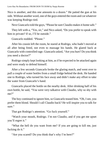Nico is another, and this one amounts to a dozen." He patted the gun at his side. Without another word, one of the guys entered the room and cut whatever was keeping Rodrigo tied.

Next Giancarlo told the guys, "Please be sure Claudio makes it home safe."

They left with a, "Yes, sir," and Nico asked, "Do you prefer to speak with him in private? If so, I'll be outside."

Giancarlo nodded. "Please."

After his cousin left the room, he stared at Rodrigo, who hadn't moved at all after being freed, not even to massage his hands. He glared back at Giancarlo with controlled rage. Giancarlo asked, "Are you hurt? Do you think you need a doctor?"

Rodrigo simply kept looking at him, as if he expected to be attacked again and were ready to defend himself.

After a few seconds Giancarlo broke the glaring match, and went over to pull a couple of water bottles from a small fridge behind the desk. He handed one to Rodrigo, who turned his face away and didn't make any effort to take the water from Giancarlo's hand.

Giancarlo placed the bottle on the nearby desk. After drinking half of his own bottle, he said, "You were very talkative with Claudio, why so shy with me?"

The boy continued to ignore him, so Giancarlo teased him. "Oh, I see, you prefer them blond. Should I call Claudio back? He will inspire you to talk for sure."

That got Rodrigo's attention. "Go fuck yourself."

"Watch your mouth, Rodrigo. I'm not Claudio, and if you get me upset you'll regret it."

"What the hell do you want from me? If you are going to kill me, just fucking do it."

"Are you scared? Do you think that's why I'm here?"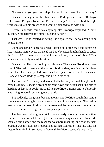"I know what you guys do with problems like me. I won't see a new day."

Giancarlo sat again, in the chair next to Rodrigo's, and said, "Rodrigo, calm down. I'm your friend and I'm here to help." He tried to find the right words to explain his presence and what he planned to do with him.

Before Giancarlo could say anything else, Rodrigo exploded. "That's bullshit. You betrayed my father, fucking traitor!"

That was it. If he insisted on acting like a spoiled brat, he was going to be treated as one.

Using one hand, Giancarlo jerked Rodrigo out of the chair and across his lap. Rodrigo instinctively balanced his body by extending his hands to touch the floor. "What the fuck do you think you're doing, you son of a bitch?" His voice sounded truly scared this time.

Giancarlo smiled; two could play this game. The answer Rodrigo got was one of Giancarlo's hands at the top of his shoulders, keeping him in place, while the other hand pulled down his faded jeans to expose his backside. Giancarlo heard Rodrigo's gasp, and held in his own.

The brat didn't wear any underwear, but before any sensual thought could cross his mind, Giancarlo brought his hand down and began spanking him as hard and as fast as he could. He could hear Rodrigo's grunts, and he obviously was trying to avoid screaming out of pride.

But suddenly, the grunts became moans, and Rodrigo sought his hand's contact, even rubbing his ass against it. In one of those attempts, Giancarlo's hand slipped between Rodrigo's ass cheeks and the impulse to explore further crossed his mind. Rodrigo had a nicely sculpted ass.

The hardness rubbing against his legs clearly was a growing erection. Damn it! Claudio had been right, the boy was naughty as hell. Giancarlo spanked him harder, and the response was more moaning, and soon the next erection was his own. He stopped and pushed Rodrigo off his lap, onto his feet, only to find himself face to face with Rodrigo's cock. He was hard.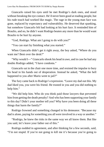Giancarlo raised his eyes until he met Rodrigo's dark ones, and stood without breaking the eye contact. He'd never been good at reading people, but his rude touch had worked like magic. The rage in the young man face was gone, replaced by expectancy and vulnerability. He deserved that spanking, but somehow Giancarlo felt bad looking at his hurt face. It reminded him of Braulio, and no, he didn't want Rodrigo beaten any more than he would want Braulio to be hurt by anyone.

"God, Rodrigo. What am I going to do with you?"

"You can start by finishing what you started."

When Giancarlo didn't get it right away, the boy asked, "Where do you want me? Bent over the desk?"

"Why would I—" Giancarlo shook his head in awe, and in case he had any doubts Rodrigo added, "I have condoms."

Giancarlo sat in the chair one more time, and resisted the impulse to bury his head in his hands out of desperation. Instead he asked, "What the hell happened to you after Mario went to jail?"

The fury came back to Rodrigo's expression. "Leave my dad out this. My dad liked you, you were his friend. He trusted in you and you did nothing to help him."

"We did help him. Who do you think paid those lawyers that prevented him from getting the death penalty? And who has been supporting your family to this day? Didn't your mother tell you? Why have you been doing all these things that harm the family?"

Rodrigo frowned and something changed in his demeanor. "Because my dad is alone, paying for something you all were involved in a way or another."

"Rodrigo, he knew the risks in the same way we all know them. But like you said, let's leave your father out of this."

Rodrigo nodded in agreement, and after thinking for a few seconds, said, "I'm not stupid. If you're not going to kill me it's because you're going to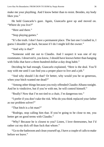make me your plaything. And I know better than to resist. Besides, my body likes you."

He held Giancarlo's gaze. Again, Giancarlo gave up and moved on. "Where do you live?"

"Here and there."

"Stop playing games."

"It's the truth. I don't have a permanent place. The last one I crashed in, I guess I shouldn't go back, because if I do I might kill the owner."

"And why is that?"

"Someone sold me out to Claudio. And I suspect it was one of my roommates. I deserved it, you know, I should have known better than hanging with folks that have a three-hundred-dollar-a-day drug habit."

Deciding he had enough, Giancarlo explained, "Here is the deal. You'll stay with me until I can find you a proper place to live and a job."

"And why should I do that? Or better, why would you be so generous, when your bitch wanted me dead?"

"Among other things because you truly offended Claudio Albano tonight. And he is vindictive, but if you're with me, he will control himself."

"Really? Now that I'm not tied to a chair, I'm dangerous too."

"I prefer if you don't take the risk. Who do you think replaced your father as our problem solver?"

"That bitch is a hit man?"

"Rodrigo, stop calling him that. If you're going to be close to me, you better get on good terms with Claudio."

"Why? Because he is closest to you? Listen, I love threesomes, but I'd rather cut my dick off than fuck that whore."

"Go to the bathroom and clean yourself up, I have a couple of calls to make before we leave."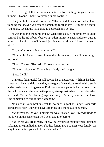After Rodrigo left, Giancarlo sent a text before dialing his grandfather's number. "Nonno, I have everything under control."

His grandfather sounded relieved. "Thank God, Giancarlo. Listen, I was thinking that maybe you can do something for that boy. He might be useful, you know. We should have tried to approach him before."

"I was thinking the same thing," Giancarlo said. "The problem is under control, but the kid is badly beaten up, I don't think he needs a doctor, but I'm going to take him to see Palmeari, just in case. And later I'll keep an eye on him."

"So, you're not coming back home?"

"No tonight. I want to keep him under observation, so we'll be staying at my condo."

"Good. Thanks, Giancarlo. I'll see you tomorrow."

"Nonno… please tell Nonna that nobody died tonight."

"Sure, I will."

Giancarlo felt grateful for still having his grandparents with him, he didn't know what he would do once they were gone. He ended the call with a smile and turned around. His gaze met Rodrigo's, who apparently had returned from the bathroom while he was on the phone, his expression hard to decipher when he asked? "So, we're sleeping together tonight. Aren't you afraid that I will find something to turn it into a weapon?"

"It's not in your best interest to do such a foolish thing." Giancarlo disregarded both Rodrigo's eavesdropping and the sexual innuendo.

"And why not? Do you think I'm too weak to attack you?" Slowly Rodrigo sat down on the same chair he'd been tied into before.

"No. What you are is really lonely. I saw your expression when I finished talking to my grandfather. Don't bother denying it. You miss your family, the way it was before your whole world crashed."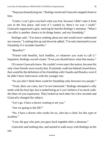"Stop psychoanalyzing me." Rodrigo stood and Giancarlo stepped closer to him.

"Listen, I can't give you back what you lost, because I didn't take it from you in the first place, and even if I wanted to, there's no way I could." Giancarlo suppressed a grin, noticing he had the Rodrigo's attention. "What I can offer is another chance to do things better, and my friendship."

Rodrigo said, "You know nothing about me and would *never* understand my reasons." Looking him up and down he added, "I'm only interested in your friendship if it includes benefits."

"Benefits?"

"Friend with benefits, fuck buddies, or whatever you want to call it." Impatient, Rodrigo waved a hand. "Even you should know what that means."

Of course Giancarlo knew. He couldn't even reject the notion, because his only close friends were exactly that. If anybody could see behind closed doors, that would be the definition of his friendship with Claudio and Braulio, even if he didn't have intercourse with the younger one.

"So you don't think there could be friendship only between two people."

"Yeah, there are cases, but I'm not interested." Rodrigo attempted a silly smile with his hurt lips, but it ended being an I-can't-believe-I'm-stuck-withthe-likes-of-you expression. They looked at each other for a few seconds and Giancarlo changed the subject.

"Let's go, I have a doctor waiting to see you."

"Are we going to the ER?"

"No, I have a doctor who works for us, who has a clinic for this type of incident."

"I see, the guy who puts you guys back together after a shootout."

Giancarlo said nothing else, and started to walk away with Rodrigo on his tail.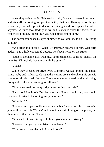### CHAPTER 5

When they arrived at Dr. Palmeari's clinic, Giancarlo thanked the doctor and his staff for coming to open the facility that late. These types of things, where they needed a private doctor late at night did not happen that often anymore. A nurse took Rodrigo away, and Giancarlo asked the doctor, "Can you check him out, I mean, can you run a blood test on him?"

The doctor squinched his eyes at him. "Do you want me to do STD testing on him?"

"And drugs too, please." When Dr. Palmeari frowned at him, Giancarlo added, "I'm a little concerned because he's been living on the streets."

"It doesn't look like that, trust me. I see the homeless at the hospital all the time. But I'll include those tests with the others."

"Thanks."

While they checked Rodrigo over, Giancarlo walked around the empty clinic lobby and hallways. He sat at the waiting area and took out his prepaid phone to call his cousin Juliano. The phone was answered on the third ring. "Why did it take you this long to call me?"

"Nonna just told me. Why did you get her involved, eh?"

"I also got Mom into it. Besides, she's my Nonna, too. Listen, you should be grateful instead of scolding me, you know?"

"What is it?"

"I have a few topics to discuss with you, but I won't be able to meet with you until next month. We can't talk about this sort of thing on the phone, but there is a matter that can't wait."

"Go ahead. I think this type of phone gives us some privacy."

"I learned that your young friend is in danger."

"You mean… how the hell did you know?"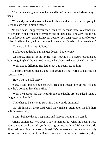"That he's in danger, or about you and him?" Juliano sounded as cocky as usual.

"You and your undercovers. I should check under the bed before going to sleep in case one is hiding there."

"In your case, I suggest you check on it too, because there's a chance you will end up in bed with one of my men one of these days. The way I see it, you are undercover, too, 'cause from your position you can protect your fellow gay folks. And here I am, helping out too, in the name of the blood ties we share."

"You are a little crazy, Juliano."

"So, knowing that he's in danger doesn't bother you?"

"Of course. Thanks for the tip. But right now he's in a secure location, and he's not going back home. And anyway, he's been in danger since I met him."

"Well, this is different. His father put out a contract on him."

Giancarlo breathed deeply and still couldn't find words to express his consternation.

"Hey! Are you still there?"

"Sure. I can't believe he's so cruel. He's maltreated him all his life, and now he's going to have him killed?"

"Well, my source said that he told someone that he prefers a dead son to a faggot in the family."

"There has to be a way to stop him. Can you do anything?"

"No, all this is off the record. Until they make an attempt on his life there is little we can do."

"I can't believe this is happening and there is nothing you can do."

Juliano explained, "We always say no names, but what the heck. I need you to understand the risk you're taking protecting him." When Giancarlo didn't add anything, Juliano continued, "It's not an open contract for anybody to execute. Santorno sent for Daniel Bucciarelli, who should arrive any day.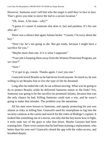However, Santorno won't tell him who the target is until they're face to face. That's gives you time to move the kid to a secure location."

"Oh, Jesus. A hit man—why?"

"I guess it's easier if someone else does it, fast and painless. It's his son after all."

There was a silence that again Juliano broke. "Cousin, I'm sorry about the boy."

"Don't be, he's not going to die. But get ready, because I might have a sacrifice for you."

"Maybe more than one, if it is what I supposed."

"Your job is keeping them away from the Witness Protection Program, are we clear?"

"Sure."

"I've got to go, cousin. Thanks again. I owe you one."

Giancarlo loved Braulio as he had never loved anyone. So much so, he was willing to set Braulio free to live the type of life he dreamed.

Long after he ended the call, he sat without moving. What was he going to do to protect Braulio while he delivered Santorno senior to the Feds? Yes, Santorno was going to be the sacrifice he promised Juliano, because that was the only chance he had. Killing Santorno could start a war, and he wasn't going to make that mistake. The problem was the meantime.

All his men were known to Santorno, and openly protecting his son was almost as risky as killing him. Giancarlo used his smartphone to log into the security cameras at the casino and search for the video of Rodrigo's capture. It looked like something out of a movie, not only did the boy know how to fight, it truly took two of the guys to take him down. Maybe Gazzara had been training him. There were rumors that he had been training a replacement, who better than his own son? Giancarlo closed the app with the video access, and breathed deeply.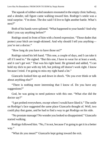The squeak of rubber-soled sneakers resonated in the empty clinic hallway, and a slender, tall figure came walking toward him. Rodrigo's smile was a total surprise. "I'm done. The doc said I'd live to fight another battle. What's next?"

Both of his hands were splinted. "What happened to your hands? And why didn't you say anything before?"

Rodrigo stood in front of him with a bored expression. "Those dudes that protect your bitch are tough-skinned. And why should I tell you anything you're not a doctor."

"How long do you have to have those on?"

Rodrigo raised his left hand. "This one, a couple of days, and I can take it off if I need to." He sighed. "But this one, I have to wear for at least a week, and it can't get wet." That was his right hand. He grinned and added, "I can hold my dick to pee with my left, but jerking off doesn't work right. I know because I tried. I'm going to miss my right hand a lot."

Giancarlo looked him up and down in shock. "Do you ever think or talk about anything else?"

"There is nothing more interesting that I know of. Do you have any suggestions?"

God, he was going to need patience with this one. "What else did the doctor say?"

"I got probed everywhere, except where I would have liked it." The smile on Rodrigo's face suggested the same place Giancarlo thought of. Well, two could play that game, and he had to find a way to get Rodrigo on his side.

"No prostate massage? No wonder you looked so disappointed." Giancarlo started walking.

Rodrigo followed him. "No, I'm not, because I'm going to get it in a better way."

"What do you mean?" Giancarlo kept going toward the exit.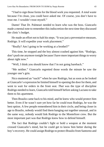"I had to sign those forms for the blood work you requested. A total waste because I'm clean, you could have asked me. Of course, you don't have to trust me. I wouldn't trust myself."

Damn! That Dr. Palmeari needed to learn who was the boss. Giancarlo made a mental note to remember this indiscretion the next time they discussed the clinic's budget.

He made an effort not to halt his steps. "It was just a preventative measure, Rodrigo. It will expedite your work placement."

"Really? Am I going to be working at a brothel?"

This time, he stopped and the boy almost crashed against him. "Rodrigo, don't push me anymore tonight because I have more important things to worry about right now."

"Well, I think you should know that I'm not going bareback."

"Me neither." Giancarlo regretted those words the minute he saw the younger one's grin.

Nico muttered an "ouch!" when he saw Rodrigo, but as soon as he looked at Giancarlo's expression he limited himself to opening the door for them, and went to wait for orders in the front seat. *That* was the type of discipline Rodrigo needed to learn, Giancarlo told himself before asking Luciano to take them to his apartment.

Then Braulio came back to his mind, and he knew who would protect him better. Even if he wasn't sure yet how far he could trust Rodrigo, he was the best option. A few people remembered him in their circle, and being closer in age to Braulio, nobody would find them hanging out together unusual, and in the same way, nobody would link Rodrigo to the Montefiore crew. But the most important part was that Rodrigo knew how to defend himself.

The fact that Rodrigo couldn't fight or hold a weapon at the moment crossed Giancarlo's mind, but he could get to know him better during the boy's recovery. He could assign Rodrigo to protect Braulio from Santorno and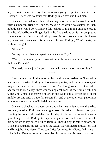any assassins sent his way. But who was going to protect Braulio from Rodrigo? There was no doubt that Rodrigo liked sex, and liked men.

Giancarlo needed to see them interacting before he would know if he could trust his innocent friend to Rodrigo. Maybe Nico would do a better job. Nah, nobody else would do. Giancarlo felt jealous of imagining anyone close to Braulio. He had been willing to let Braulio find the love of his life, but putting someone next to him that would simply use him and leave him heartbroken no, never that. He made up his mind and informed Rodrigo, "You'll be staying with me tonight."

"Where?"

"At my place. I have an apartment at Center City."

"Yeah, I remember your conversation with your grandfather. And after that, what's next?"

"I already have a job for you. I'll know for sure tomorrow morning."

\*\*\*\*

It was almost two in the morning by the time they arrived at Giancarlo's apartment. He asked Rodrigo not to make any noise, and for once he obeyed, maybe because he was exhausted too. The living room of Giancarlo's apartment looked cozy, three couches against each of the walls, with side tables and lamps, expensive fine art on the walls and a coffee table in the middle. At one end, a huge flat screen TV, and at the other end, panoramic windows showcasing the Philadelphia skyline.

Giancarlo checked the guest room, and when he saw it empty with the bed made up, he asked Rodrigo to wait right there. He rushed to his own room, and opening the door confirmed that Braulio slept in his bed. For once, this was a good thing. He told Rodrigo to stay in the guest room and then went back to his bedroom to lay down next to Braulio. They'd slept together before, but Giancarlo had done his best to keep the sexual play limited to mutual jerk offs and blowjobs. And kisses. They could kiss for hours. For Giancarlo knew that if he fucked Braulio, he would never let him go to live his dream gay life.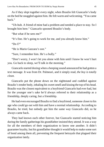As if they slept together every night, when Braulio felt Giancarlo's body on the bed he snuggled against him. He felt warm and welcoming. "You came back."

"Uh-huh. A friend of mine had a problem and needed a place to stay. So I brought him here." Giancarlo spooned Braulio's body.

"But what if he sees me?"

"It's fine. He's going to work for me, and you already know him."

"Do I?"

"He is Mario Gazzara's son."

"Sure, I remember him. He's a bully."

"Don't worry, I won't let you alone with him until I know he won't hurt you. Go back to sleep, we'll talk in the morning."

Giancarlo started dozing when a beeping sound announced he had gotten a text message. It was from Dr. Palmeari, and it simply read, *the boy is totally clean.*

Giancarlo put the phone down on the nightstand and cuddled against Braulio's tender body, inhaling his sweet smell and kissing the top of his head. Braulio was the closest equivalent to a boyfriend Giancarlo had ever had, but for the younger one's sake he'd always referred to their relationship as a friendship, deeply caring, but a friendship.

He had even encouraged Braulio to find a boyfriend, someone closer to his age who could go out with him and have a normal relationship. According to Braulio, he tried, but nobody got him the same way Giancarlo did, so he always came back.

They had known each other forever, but Giancarlo started noticing him during the family gatherings his grandfather insisted they attend. It was a way for all the members of their organization to know one another. It didn't guarantee loyalty, but his grandfather thought it would help to make some sort of bond among them all, preventing the frequent betrayals that plagued their organization lately.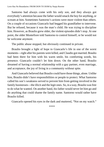Santorno had always come with his only son, and they always got everybody's attention because the father would smack the boy for anything, or scream at him. Sometimes Santorno's actions were more violent than others. On a couple of occasions Giancarlo had begged his grandfather to intervene. But he refused, because it was the man's child. He was trying to discipline him. However, as Braulio grew older, the violent episodes didn't stop. At one point, the older Montefiore told Santorno to control himself, or he would not be welcome anymore.

The public abuse stopped, but obviously continued in private.

Braulio brought a light of hope to Giancarlo's life in one of the worst moments—right after his parents were killed, and Claudio got married. Braulio had been there for him with his warm smile, his comforting words, his presence. Giancarlo couldn't let him down. On the other hand, Braulio dreamed of having a normal relationship with a gay partner, even marriage, and acceptance, the joy of living in a community without spite.

And Giancarlo believed that Braulio could have those things, alone. Unlike him, Braulio didn't have responsibilities or people to protect. What Santorno called his son's weakness served to prevent him from getting involved in the family businesses—the illicit and the legit ones. So, in a way, Braulio was free to do what he wanted. On another hand, his father would never let him go and do anything that could shame the family name. Santorno would rather have Braulio killed.

Giancarlo opened his eyes in the dark and muttered, "Not on my watch."

\*\*\*\*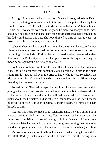# CHAPTER 6

Rodrigo did not use the bed in the room Giancarlo assigned to him. He sat on one of the living room couches all night, and at some point fell asleep for a couple of hours. He'd lied when he told Giancarlo that he didn't have a home. He did, but it was far away from the city and he didn't want anybody to know about it. It had been one of his father's hideouts that Rodrigo had kept, hoping his dad would escape one day. The hope thinned as time passed. It wasn't as luxurious as this apartment, but it was all his.

When the boss said he was taking him to his apartment, he pictured a nice place, but the apartment turned out to be a duplex penthouse with rooftop swimming pool included. Rodrigo had discovered it when he opened a glass door to see the Philly skyline better. He spent most of the night watching the moon dance against the artificially blue water.

So, Giancarlo didn't want him for sex after all, because he had someone else. Rodrigo didn't miss that somebody was sleeping with him in the main room. But his glance had been too brief to know who it was. Somehow, the idea bothered him. He wanted those big hands touching him in different ways than they had done up until now.

Something in Giancarlo's eyes invited him closer—so mature, and so young at the same time. Rodrigo wanted to be near him, but he also needed to be by himself, to understand what the hell had happened. He'd always been picky about who he fucked, and he refused sugar daddies all the time, because he loved to be free. But upon meeting Giancarlo again, he wanted to chain himself to him.

Rodrigo had heard so much about Giancarlo since he was a child, but he never expected to find him attractive. Yes, he knew that he was young, his father had complained at first of having to follow Giancarlo Montefiore's orders, but later had started to praise the young man, saying that he was as smart as his grandfather. One of the few men of honor born in his generation.

Mario Gazzara had never told him if Giancarlo had anything to do with his downfall; Rodrigo just assumed he did, because he was the acting boss.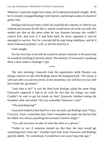Whatever Giancarlo might have done, he'd redeemed himself tonight. Well, he'd certainly changed Rodrigo's life forever, and he had no idea of what he'd gotten into.

Rodrigo had always been a rebel, he would do the contrary of what he was ordered just because he felt like it, and he would never do as he was told. His mother put him on the street when he was fourteen because she couldn't control him, and even if it had been hard, he never regretted it, and he managed to survive. Not for a second did he stop being rebellious, and he'd never followed anybody's will, or felt the need for it.

Until tonight.

For the first time in his life he wanted to please someone to the point that he would do anything Giancarlo asked. The memory of Giancarlo's spanking drew a slow smile to Rodrigo's lips.

\*\*\*\*

The next morning, Giancarlo took the opportunity while Braulio was taking a shower to talk with Rodrigo about the bodyguard job. "Of course, it will start after you are recovered. In the meantime, you will have to stay with him inside the apartment."

"And who is he?" It was the third time Rodrigo asked the same thing. Giancarlo supposed it had to do with the fact that his charge was male. Couldn't he wait to get his hands on him? Giancarlo finished setting the breakfast table and asked, "Do you remember Santorno's son?"

"The punching bag?"

Giancarlo looked at him hard for a few seconds, and Rodrigo said, "Okay, I'm sorry. Yeah, I remember him, I don't remember his name, but the fact that his father was always punching him around is hard to forget."

"Yes, and you have no idea of what that does to a person."

"Father or not, if someone treated me like that, the man would get something back from me." Another hard look from Giancarlo and Rodrigo quickly added, "At a minimum, I would have run away long time ago."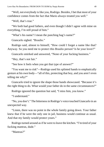"Well, not everybody is like you, Rodrigo. Besides, I bet that most of your confidence comes from the fact that Mario always treated you well."

"Well, that's true."

"We both had good fathers, and even though I didn't agree with mine on everything, I'm still proud of him."

"What's his name? I mean the punching bag's name?"

Giancarlo sighed. "Braulio."

Rodrigo said, almost to himself, "How could I forget a name like that? Anyway. So you need me to protect this Braulio person? Is he your lover?"

Giancarlo smirked and answered, "None of your fucking business."

"Hey, that's not fair."

"See how it feels when you get that type of answer?"

"You want me to risk"—Rodrigo used his splinted hands to emphatically gesture at his own body—"all of this, protecting that boy, and you aren't even telling me why?"

Giancarlo tried to ignore the shape those hands showcased. "Because it's the right thing to do. What would your father do in the same circumstances?"

Rodrigo ignored the question but said, "I miss him, you know."

"I understand."

"No, you don't." The bitterness in Rodrigo's voice touched Giancarlo in an unexpected way.

"Listen, there was no point in the whole family going down. Your father knew that if he were the only one in jail, business would continue as usual. And that my family would protect yours."

Rodrigo turned around as if he were to leave the kitchen. "I'm tired of your fucking mantras, dude."

"Mantras?"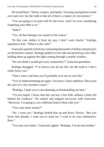He turned back. "Honor, respect, and family. You keep saying those words over and over, but the truth is that all of that is a matter of convenience."

"You are going to be paid well for the favor. And I'm even considering forgetting your debt to us."

"Debt?"

"Yes, all that damage you caused at the casino."

"In that case, deduct it from my pay, I don't want charity." Rodrigo squinted at him. "Where is the cash?"

Giancarlo opened a briefcase containing thousands of dollars and placed it on the kitchen counter. Rodrigo pulled it to his side and picked up a few bills, holding them up against the light coming through a nearby window.

"Do you think I would give you counterfeits?" Giancarlo grumbled.

Rodrigo shrugged. "I've known you all my life, but the truth is I don't really know you."

"That's more cash than you'll probably ever see in your life."

"You're underestimating me again. You know, I have ambition. This is just the start of a very lucrative career."

"Rodrigo, I hope you're not planning on blackmailing me later."

"I'm not stupid. I know that this can buy a few kills without a body left behind for evidence." He smiled and stepped toe-to-toe with Giancarlo. "However, I'm going to cut a different kind of deal with you."

"You want more money?"

"No. I want you." Rodrigo looked him up and down. Slowly. "But you know that already. I want you to want me. I want to be your submissive, Boss."

"You and your kinks," Giancarlo sighed. "Rodrigo, I'm not into leather."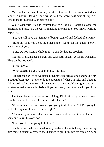"*Our* kinks. Because I know you like it too, or at least, your cock does. You're a natural, Boss." The way he said the word *boss* sent all types of sensations throughout Giancarlo's body.

While Giancarlo tried to control that cock of his, Rodrigo closed the briefcase and said, "By the way, I'm taking the cash too. You know, working expenses."

"So, you still have that fantasy of being spanked and fucked afterward?"

"Hold on. That was then, the other night—we'd just met again. Now, I want more of you."

"Fine. Do you want a whole night? I can do that, no problem."

Rodrigo shook his head slowly and Giancarlo asked, "A whole weekend? That can be arranged."

"I want more."

"What exactly do you have in mind, Rodrigo?"

Again those dark eyes evaluated him before Rodrigo sighed and said, "I'm a natural born rebel. I love to do the opposite of what I'm told, and I hate to follow orders. I want to see if I can submit to someone. You might have what it takes to make me a submissive. If you succeed, I want to be with you for a while."

The idea pleased Giancarlo, too. "Okay, I'll do it, but you have to keep Braulio safe, at least until this issue is dealt with."

"What is this issue and how are you going to deal with it? If I'm going to be his bodyguard, I have to know, right?"

"The main problem is that Santorno has a contract on Braulio. He hired someone to kill his own son."

"I told you he was going to kill me!"

Braulio stood in the kitchen doorway, and after the initial surprise of seeing him there, Giancarlo crossed the distance to pull him into his arms. "No, he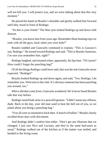will not kill you. I will protect you, and we were talking about that this very moment."

He placed his hand on Braulio's shoulder and gently walked him forward until they stood in front of Rodrigo.

"So this is your friend." The blue eyes looked Rodrigo up and down with distrust.

"Braulio, you know him from years ago. Remember those hunting trips we took with all the guys, back when you were kids?"

Braulio nodded and Giancarlo continued to explain, "This is Gazzara's son, Rodrigo." He turned toward Rodrigo and said, "This is Braulio Santorno, I'm sure you remember him, right?"

Rodrigo laughed, and moaned when, apparently, his lips hurt. "Of course? How could I forget the punching bag?"

Of all the things Rodrigo could have said, that was the one Giancarlo never expected. "Rodrigo!"

Braulio looked Rodrigo up and down again, and said, "Yes, Rodrigo, I do remember you. Welcome to the club. It's obvious someone has been punching you around, too."

*Where did that come from,* Giancarlo wondered. He'd never heard Braulio talk that way before.

Rodrigo raised both arms in a peaceful gesture. "I didn't mean any offense, dude. Back in the day, your old man used to beat the hell out of you, so we joked about you being a punching bag."

"You all were so insensitive back then. A bunch of bullies." Braulio clearly recalled those days with discontent.

And Rodrigo didn't comfort him either. "Don't get any illusions that we changed. I just saw Nico and Luciano, and they're the same bad-asses as usual." Rodrigo walked out of the kitchen as if the matter was settled, and headed to the living room.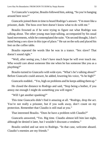To Giancarlo's surprise, Braulio followed him, asking, "So you're hanging around here now?"

Giancarlo joined them in time to heard Rodrigo's answer. "I'm more like a prisoner, dude. The boss over here doesn't know what to do with me."

Braulio frowned as if he were trying to figure out what Rodrigo was talking about. The other young man kept talking, accompanied by his usual hand movements, while he contemplated the suite. "On second thought, I don't mind being a sex slave in this type of place." He sat on the sofa and placed his feet on the coffee table.

Braulio repeated the words like he was in a trance. "Sex slave? That doesn't sound right."

"Well, after seeing you, I don't have much hope he will ever touch me. Who would care about someone like me when he has someone like you as a plaything?"

Braulio turned to Giancarlo with wide eyes. "What's he's talking about?" Before Giancarlo could answer, he added, lowering his voice, "Is he high?"

Giancarlo nodded.. "Yes, high on problems and he keeps adding them up."

He closed the distance to Rodrigo and said, "Stop being a bother, if you annoy me enough I might do something you will regret."

"Will I get another spanking?"

This time Giancarlo didn't find it amazing at all. "Rodrigo, drop the act. You're not really a prisoner, but if you walk away, don't count on my protection. Remember that Claudio is still mad at you."

That interested Braulio. "Does he have a problem with Claudio?"

Giancarlo answered, "Yes. Big time. Claudio almost kill him last night, although he denied it later, but I wouldn't discount a vendetta."

Braulio smiled and sat next to Rodrigo. "In that case, welcome aboard. Claudio's enemies are my friends."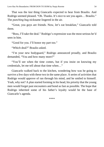That was the *last* thing Giancarlo expected to hear from Braulio. And Rodrigo seemed pleased. "Oh. Thanks. It's nice to see you again… Braulio." The *punching bag* nickname lingered in the air.

"Great, you guys are friends. Now, let's eat breakfast," Giancarlo told them.

"Boss, I'll take the deal." Rodrigo's expression was the most serious he'd seen in him.

"Good for you. I'll honor my part too."

"Which deal?" Braulio asked.

"I'm your new bodyguard," Rodrigo announced proudly, and Braulio demanded, "You and how many more?"

"You'll see when the time comes, but if you insist on knowing my credentials, let me tell about that time when…"

Giancarlo walked back to the kitchen, wondering how was he going to survive a few days with these two in the same place. A series of activities that Rodrigo would approve of ran through his mind, and he smiled to himself. Yeah, why not? A plan started forming in his head, his priority that the young men would forget past encounters and bond as fast as possible. The hope that Rodrigo inherited some of his father's loyalty would be the base of Giancarlo's agenda.

\*\*\*\*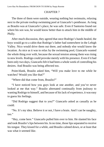# CHAPTER 7

The three of them were outside, wearing nothing but swimsuits, relaxing next to the private rooftop swimming pool at Giancarlo's penthouse. As long as Braulio was at Giancarlo's place, he was safe. Even if Santorno found out where his son was, he would know better than to attack him in the middle of Philly.

After much discussion, they agreed that once Rodrigo's hands healed, the boys would go to a cabin that Rodrigo's father had somewhere in the Lehigh Valley. Nico would drive them out there, and nobody else would know the location. As nice as it was to relax by the swimming pool, Giancarlo wanted the whole thing over with, because the sexual tension among them was rising to new levels. Rodrigo could provoke merely with his presence. Even if it had been only two days, Giancarlo felt it had been a whole week of controlling his desires. And Braulio was being affected too.

Point-blank, Braulio asked him, "Will you make love to me while he watches? Would you like that?"

"Where did that come from, Braulio?"

"I have noticed how you guys look at one another, and you've never looked at me that way." Braulio alternated continually from jealousy to wanting Rodrigo to himself, and because of his lack of experience, it was easy to guess his feelings.

"Did Rodrigo suggest that to you?" Giancarlo asked as casually as he could.

"No. It's my idea. Believe it or not, I have a brain. And I can be naughty, too."

"Hey, come here." Giancarlo pulled him over to him. He slanted his face and took Braulio's lips between his. In no time, those lips separated to receive his tongue. They kissed for a while, and Braulio calmed down, or at least that was what it seemed like.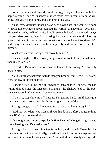For a few minutes afterward, Braulio snuggled against Giancarlo, but he kept watching Rodrigo. "Giancarlo, if we make love in front of him, he will know that you belong to me, and stop provoking you."

Make love? Until now it had always been having sex, and what he'd done with Claudio or Angelo never included the word love. They didn't even kiss. Maybe that's why he liked to kiss Braulio so much, but Giancarlo had always stopped after getting Braulio off using his hands or his mouth. The shy question struck him the wrong way. What was so wicked about Rodrigo? He'd had many chances to take Braulio completely and had always controlled himself.

What was it about Rodrigo that drove him nuts?

Giancarlo sighed. "If we do anything sexual in front of him, he will more than likely join us."

He studied Braulio's reaction, how he looked from Rodrigo's lean body back to him.

"And isn't that what you wanted when you brought him here?" The words were strong, but the tone meek.

Giancarlo tried to find the right answer to that, and then Rodrigo, who had skinny-dipped since the first day, staying in the shallow end of the pool because he couldn't swim, walked toward them.

"You two, stop showing off, because I'm getting hard." As if Rodrigo's cock heard him, it rose towards his belly right in front of them.

Rodrigo begged. "See? Are you going to leave me like this again?"

"Rodrigo, why don't you wait until your hands heal before doing anything sexual?" Giancarlo teased him.

"My tongue and my ass are perfectly fine. I learned a long time ago how to take a beating, and I've had worse."

Rodrigo placed a towel a few feet from them, and lay on it. He rubbed his cock against the towel frantically, the still reddened flesh of his exposed ass moving as if he were fucking someone. "Damn it, if I could only use my right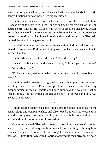hand," he complained loudly. As if they needed to hear about his beloved right hand's functions or how those were highly missed.

Braulio and Giancarlo watched, transfixed by the demonstration. Giancarlo's hand yearned to touch Rodrigo again, but for his plan to work, he had to control himself. He had been right when he assumed that having access to another man would awaken new desires in Braulio. During the last two days the sexual tension had heightened considerably, and on purpose Giancarlo limited the attention he gave to Braulio.

He felt disappointed and excited at the same time. It didn't take too much thought to guess what Rodrigo was trying to accomplish by calling attention to himself like that.

Braulio whispered in Giancarlo's ear, "Should we help?"

Giancarlo embraced him and whispered back, "If he lets you touch him—"

"What about you?"

"I'll be watching, making sure he doesn't hurt you. Braulio, use only your hands."

Braulio crawled toward Rodrigo, who opened his eyes to see who was kneeling next to him. From his position, Giancarlo saw the tiny disappointment in the dark pupils, and hoped Braulio didn't notice it. As if he read his mind, Rodrigo smiled as much as his hurt lips allowed and said, "Go ahead, I'm all yours."

\*\*\*\*

Braulio couldn't believe his luck. He'd come to Giancarlo looking for the usual refuge and companionship, and also hoped this was the weekend he would be completely possessed by him, but apparently his lover didn't have any intention of furthering their lovemaking.

Maybe he misread Giancarlo's eyes that told him love wasn't that far away. If only he could express how much he was willing to be anything Giancarlo wanted. However, fate had brought a nice addition to their shared passion. At first, Braulio resented Rodrigo for invading their privacy, but now,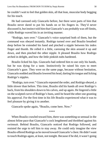he couldn't wait to feel that golden skin, all that lean, muscular body begging for his touch.

He had caressed only Giancarlo before, but there were parts of him that Braulio never dared to put his hands on or his fingers in. They'd never discussed it, but instinct told him that Giancarlo's ass probably was off-limits, while Rodrigo waved his in an inviting manner.

"Rodrigo, turn over." Giancarlo's voice surprised both of them, but the command was obeyed instantly. Rodrigo turned over and Braulio breathed deep before he extended his hand and pinched a nipple between his index finger and thumb. He rolled it a little, caressing the skin around it up and down, and then pinched the other nipple. It pleased Braulio how Rodrigo arched in delight, and how the little pinkish nubs hardened.

Braulio licked his lips. Giancarlo had ordered him to use only his hands, but he was dying for a taste. Instinctively he raised his eyes to meet Giancarlo's gaze. They were on the same page, because without hesitation, Giancarlo nodded and Braulio lowered his head, darting his tongue and licking Rodrigo's nipples.

"Rodrigo, turn over." Giancarlo repeated the order, and Rodrigo obeyed, a little slower than before. This time, Braulio slid his hands all over Rodrigo's back, from his shoulders down to his calves, and up again. He lingered a little on the sculpted curve of Rodrigo's buns, until he heard the other one grunting his approval. For the first time in his life Braulio experienced what it was to feel pleasure by giving it to another.

Giancarlo spoke again, "Braulio, come here. Now."

\*\*\*\*

When Braulio crawled toward him, there was something so sensual in the almost feline pace that Giancarlo's cock lengthened and throbbed against his swimsuit. Behind Braulio, Giancarlo noticed that Rodrigo followed, and resisted the urge to tell him to stay away. He could only imagine the view Braulio offered Rodrigo as he moved toward Giancarlo's chest. He didn't want to touch Rodrigo again, at least, not tonight. Because if he did, it wasn't going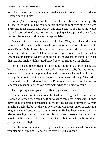to be the type of caresses he planned to dispense to Braulio—he would take Rodrigo hard and fast.

So he ignored Rodrigo and focused all his attention on Braulio, gently pulling down Braulio's swimsuit, before spreading him over his own body, and brushing his lips. Braulio was beyond excitement, as he pushed his tongue out and searched for Giancarlo's tongue, slipping in it deeper with a newfound passion. Jealously could be a strong aphrodisiac.

Giancarlo fought for dominance of the kiss. They had played this way before, but this time Braulio's need turned into desperation. He reached to touch Braulio's back with his hand, and before he could, he felt Braulio tensing up while looking at him with wide-open eyes. It took him a few seconds to understand what was going on, he looked behind Braulio's to see that Rodrigo knelt with his faced buried between Braulio's ass cheeks.

For an instant, the eroticism of their nude bodies, in that pose, distracted him. A new sensation invaded Giancarlo's most inner self, the need to own another and proclaim his possession, and the redness he could still see on Rodrigo's buttocks, fed that need. A jolt of pleasure went through Giancarlo's whole body, but he had to look out for Braulio's reactions, currently puffing air against his mouth. "Are you okay with what he's doing to you?"

The rasped question got an equally raspy answer. "Yes."

Braulio leaned on Giancarlo's chest while Rodrigo licked his asshole. Giancarlo watched, fascinated, as Braulio's face contorted in pleasure—he had never done something like that to him, mostly because he'd stayed away from Braulio's backside, but by the way he was enjoying the invasion of Rodrigo's tongue, it should become part of their routine. He had been playing with the idea of keeping Rodrigo around for his own kinky reasons, but he worried about Braulio's reaction to a triad. Now, it was obvious that Braulio wouldn't put up much of a fight.

As if he were summoned, Rodrigo raised his head and asked, "What are you planning with him, Giancarlo? Why is he still a virgin?"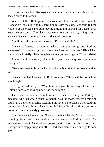It was the first time Rodrigo said his name, and it sent another rush of heated blood to his cock.

While he talked Rodrigo moved closer and closer, until he stood next to Giancarlo's legs, allowing his hard dick to skim the skin. Giancarlo felt the wetness of the other's pre-cum leaving a trail, and yearned for a taste, or at least a simple touch. The black eyes were now on his face, trying to steal answers Giancarlo never planned to share with anyone.

Braulio was the one who answered. "I'm not a virgin."

Giancarlo frowned, wondering where was this going, and Rodrigo elaborated. "I know a virgin asshole when I see, or taste one." His wicked smile flashed briefly. "How long have you guys been together?" He insisted.

Again Braulio answered, "A couple of years, and why would you care, Rodrigo?"

"Because I want to fuck the hell out of you, but I doubt the boss would let me."

Giancarlo stated, looking into Rodrigo's eyes, "There will be no fucking here tonight."

Rodrigo rolled his eyes. "What have you guys been doing all this time? Holding hands and kissing under the moonlight?"

Those words in another's mouth would have sounded funny, but Rodrigo's mocking ridiculed what Giancarlo thought was the most respectful thing he could have done for Braulio. Recalling his lover's expression when Rodrigo rimmed him forced him to face the truth. Maybe Braulio didn't want to be respected, but completely possessed.

In an unexpected movement, Giancarlo grabbed Rodrigo's cock and started pumping him up and down. A slow smile appeared on Rodrigo's face. The message was clear to Giancarlo—*I got you, dude*. He resisted the desire to hurt Rodrigo or to stop jerking him off. He had been manipulated enough for one day.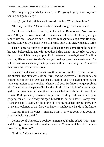"I'm not giving you what you want, but I'm going to get you off so you'll shut up and go to sleep."

Rodrigo pointed with his head toward Braulio. "What about him?"

"He's my problem." Giancarlo had shared enough for the moment.

As if he took that as his cue to join the action, Braulio said, "And you're mine." He pulled down Giancarlo's swimsuit and lowered his head, placing a tender kiss on Giancarlo's cock. The gesture inspired a laugh from Rodrigo, quickly followed by a groan when Giancarlo pulled his dick with extra force.

Then Giancarlo watched as Braulio licked the pre-come from the head of his penis before taking it into his mouth as he had taught him. He slowed down the pace at which he was pumping Rodrigo to match the rhythm of Braulio's sucking. His gaze met Rodrigo's nearly closed eyes, and he almost came. The sultry look promised every fantasy he could think of coming true. And all of them were as dark as those eyes.

Giancarlo slid his other hand down the curve of Braulio's ass and between his cheeks. The skin was soft but firm, and he regretted all those times he controlled himself. His eyes searched Braulio's, and it pleased him to see the same expression he saw earlier, when it had been Rodrigo's tongue probing him. He increased the pace of his hand on Rodrigo's cock, briefly stopping to gather the pre-come and use it as lubricant before rushing him to a loud climax. Rodrigo nearly convulsed in pleasure, ending with his mouth open, gasping for air. He slowly dragged himself to lie on a towel, away from Giancarlo and Braulio. So he didn't like being touched during afterglow. Giancarlo took note of that fact, who knew, it might come handy in the future.

Rodrigo found his voice. "Thanks, Boss. That was good. However, my prostate feels neglected."

Letting go of Giancarlo's cock for a moment, Braulio asked, "Prostate?" and Rodrigo answered with another question. "Under which rock have you been living, Braulio?"

"Rodrigo," Giancarlo warned.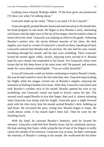Looking more relaxed, Rodrigo added, "If the boss gives me permission I'll show you what I'm talking about."

Giancarlo made up his mind. "There is no need, I'll do it myself."

Giancarlo gently pushed Braulio backward and moved up to lie beside him, his head propped on one hand. He began to kiss Braulio's neck, alternating soft kisses with the light trace of the tip of his tongue, then he trailed a chain of kisses down his chest. Giancarlo was making an effort to be gentle. Admiring Braulio's perfect skin, the nicely defined muscles of his chest, the dark nipples, now hard as a result of Giancarlo's mouth on them. Speaking of hard, Giancarlo noticed that Braulio had an erection. He also had his eyes closed, breathing through his mouth, and his lips were trembling. Then Giancarlo kissed his mouth again; softly, slowly, enjoying every second of it. Braulio kept his eyes closed, but responded to his kisses. For Giancarlo, those were kisses that he felt deep down in his most inner self. He paused, and emotion made his voice almost unintelligible. "You are really beautiful."

It was all Giancarlo could say before continuing to explore Braulio's body, the way he had wanted to since the first time they met. Giancarlo kept stroking his thighs while his tongue circled one of Braulio's nipples, enjoying the sensation of feeling it harden even more. After that, Giancarlo went down and took Braulio's swollen cock in his mouth. Braulio opened his own to say something, and Giancarlo raised one hand to slowly caress his lips. The sensual touch urged Braulio to kiss that finger, then suck it, almost imitating what Giancarlo was doing with his length. Giancarlo gave a slight forward push with his chin every time his mouth sucked Braulio's dick, bobbing up and down. He increased the pace, noting how Braulio began to moan. He could almost smile, if his mouth hadn't been full. Then he went for the finishing touch.

With his hand, he caressed Braulio's buttocks, until he located his entrance. Giancarlo could feel how Braulio froze, but he continued, anyway. He kept sucking him faster, while using the tip of one of his fingers to softly caress the outside of his entrance, Giancarlo was so busy, he didn't anticipate the intensity of Braulio's coming in his mouth. He swallowed the hot bitter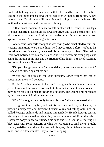fluid, still holding Braulio's member with his lips, and he could feel Braulio's spasm in the most intense orgasm he had ever witnessed from him. A few seconds later, Braulio was still trembling and trying to catch his breath. He muttered a *thank you*, and Giancarlo let him go.

In that exact moment, Giancarlo felt another set of hands on his legs, stronger than Braulio. He guessed it was Rodrigo, and paused to tell him to let him alone, but somehow Rodrigo got under him, his whole body spread against Giancarlo's torso and genital area.

For a second Giancarlo thought he was trying to be penetrated by him, but Rodrigo intentions were something he'd never tried before, rubbing his backside against Giancarlo, he spread his legs enough to clamp Giancarlo's erect cock between his ass cheeks and guide it between his strong legs, and using the motion of his hips and the friction of his thighs, he started returning the favor of jerking Giancarlo off.

"Did you change your mind? You said that you were not going bareback." Giancarlo muttered against his ear.

"We're not, and this is for your pleasure. Since you're not fan of penetration, there will be none."

He didn't bother denying it, he could have given him a demonstration to prove how much he wanted to penetrate him, but instead Giancarlo started moving his hips, and aimed for Rodrigo's scrotum. The second time he nudged it, the moans out of Rodrigo were clear.

"What? I thought it was only for my pleasure." Giancarlo teased him.

Rodrigo kept moving fast, and met his thrusting until they both came, the pleasure unexpected and different. Giancarlo avoided falling onto him, but pulled Rodrigo on his side and hugged him tenderly. He felt Rodrigo tensing his body as if he wanted to reject him, but soon he relaxed. From the side of Rodrigo's body Giancarlo extended his hand and held Braulio's, meeting his blue gaze with some concern of what he was going to find there. Braulio smiled, satisfied, and the smile reached his eyes, giving Giancarlo peace of mind, and in a few minutes, they all were sleeping.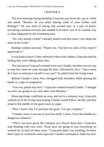#### CHAPTER 8

The next morning during breakfast Giancarlo put down his cup of coffee and asked, "Braulio, do you mind sharing some of your clothes with Rodrigo?" He was tired of seeing him around only in a pair of briefs, provoking constant erections that needed to be taken care of in a similar way to what happened by the swimming pool.

"No, why should I mind? I already shared with him what I care about the most in the world."

Rodrigo winked and said, "Thank you. You have no idea of how much I appreciate it."

It was hard to know if they referred to him or the clothes. Giancarlo had the feeling they were talking about him.

The last person Giancarlo wanted to see was Claudio, but there was no way to stop him when he came through the door, followed by Nico. "Since when do I have to announce myself to see you?" he asked from the living room.

Behind Claudio's back, Nico shrugged both shoulders while opening his hands in a sign of resignation.

"You two, please stay here." Giancarlo walked toward Claudio. "I thought we were not going to see each other until Monday."

Knowing things could heat up soon, and not in a romantic way, Giancarlo walked out of the living room hoping Claudio would follow. He did, and they stood in the middle of the guest room to argue.

"Now I know why I'm persona non grata. You got company."

"Claudio, irony is not one of your best skills. Listen, I'm in the middle of a dangerous situation."

"That's not news given the company you choose these days. Giancarlo, stop thinking with your cock. Those boys are going to ruin everything we worked for so hard all these years." Giancarlo didn't say anything, he knew these types of comments were expected. Claudio continued to make his case.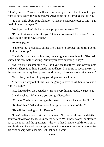"Don't you see it? Rumors will start, and soon your secret will be out. If you want to have sex with younger guys, Angelo can safely arrange that for you."

"It's not only about sex, Claudio." Giancarlo stepped closer to him. "I'm tired of being by myself."

"And you couldn't find a more appropriate companion?"

"I'm not taking a wife like you." Giancarlo lowered his voice. "I can't leave Braulio alone now, either."

"Why is that?"

"Santorno put a contract on his life. I have to protect him until a better solution comes up."

Claudio's mouth was a thin line, drawn tight at some thought. Giancarlo studied his face before asking, "Don't you have anything to say?"

"No. You've become suicidal. Can't you see that there is no way this can end well. There is nothing I can do around here, I'm going to spend the rest of the weekend with my family, and on Monday, I'll go back to work as usual."

"Good for you. I was hoping you'd give me a solution."

"There is no way out of this. You're going to have to kill Santorno, and a war will follow"

Nico knocked on the open door. "Boss, everything is ready, we got to go."

Claudio asked, "Where are you going, Giancarlo?"

"Not me. The boys are going to be taken to a secure location by Nico."

"Both of them? What does have Rodrigo to do with all of this?"

"He will be looking out for Braulio."

"I can't believe you trust that delinquent. No, don't tell me the details, I don't want to know, the less I know the better." With those words, he stormed out of the room and the apartment—the wish that Claudio would storm out of his life struck Giancarlo as a surprise. Yes, it was about time for him to revise his relationship with Claudio. But that had to wait.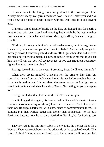He went back to the living room and gestured to the boys to join him. "Everything is ready, you guys need to go now. Nico will drive you and give you a new cell phone to keep in touch with us. Don't use it to call anyone else."

Giancarlo kissed Braulio briefly on the lips, but hugged him for nearly a minute, both with eyes closed and knowing that it might be the last time they saw one another or touched each other. Making an effort, Giancarlo let go of Braulio.

"Rodrigo, I know you think of yourself as dangerous, but this guy, Daniel Bucciarelli, he's someone you don't want to fight." As if to help to get his message across, Giancarlo put his hands over Rodrigo's shoulders and lowered his face a few inches to match his, nose to nose. "Promise me that if you see him you will run, that you will escape as fast as you can. Braulio is not a street fighter like you, remember that."

Rodrigo looked him in the eyes. "I promise, Boss. I will keep him safe."

When their breath mingled Giancarlo felt the urge to kiss him, but controlled himself, because he'd never kissed his men before sending them out on a deadly assignment. He perceived the same craving in Rodrigo, so he eased their mutual need when he added, "Good. Nico will give you a weapon, too."

Rodrigo smiled at that, but the smile didn't reach his eyes.

Braulio hugged him again, his face buried in Giancarlo's chest. It took a few minutes of reassuring words to get him out of the door. The last he saw of them was Rodrigo's dark eyes, with a new sense of commitment in them. His bonding plan had worked better and sooner than anticipated—to his own detriment, because now, he not only worried for Braulio, but for Rodrigo too.

\*\*\*\*

They arrived at the one-story cabin in the woods, the perfect place for a hideout. There were neighbors, on the other side of the stretch of woods. This part of Lehigh Valley was considered rural, but at least the little house had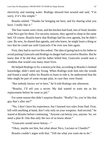electricity and running water. Rodrigo showed him around and said, "I'm sorry, if it's this simple."

Braulio smiled. "Thanks for bringing me here, and for sharing what you have. I really like it."

The four rooms were clean, and the kitchen had food, lots of food, besides what Nico got for them. For security reasons, they agreed to sleep in the same bed. Of course, Braulio knew that Rodrigo had his own agenda, but he didn't care. By now, he shared that agenda, and who knew, he might learn a thing or two that he could use with Giancarlo if he ever saw him again.

First, they had to survive this ordeal. The idea of going back to his father to avoid putting Giancarlo and Rodrigo in danger had occurred to Braulio. But he knew that if he did that, and his father killed him, Giancarlo would start a vendetta that would cost many more lives.

He helped Rodrigo to fix a motorcycle that, according to Braulio's limited knowledge, didn't need any fixing. When Rodrigo took him into the woods and found a small valley for Braulio to learn to ride it, he understood that the bike might be part of some escape plan, in case they were found.

"But nobody knows we're here," he'd told Rodrigo one afternoon.

"Braulio, I'll tell you a secret. My dad started to train me as his replacement before he went to jail."

For some reason this didn't surprise Braulio. "Really? So, you're like that guy that's after me?"

"No, I don't have his experience, but I learned two rules from Dad. First, kill with anything at hand, don't rely only on your weapons. And second," he stared at Braulio before continuing. "Anyone can betray you, anyone. So, we need a plan B. One that only the two of us know about."

"Giancarlo would never betray—"

"Okay, maybe not him, but what about Nico, Luciano or Claudio?"

Braulio couldn't argue with that. "Tell me what you want me to do."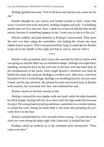Rodrigo grinned and said, "Get on all fours and spread your sweet ass for me."

Braulio thought he was serious and looked around to find a place that wasn't covered with rocks and moss. Rodrigo laughed and said, "I'm kidding, maybe later we'll try that one. Now, I need you to learn to ride the bike on this terrain, because if something happens to me, I want you to ride it to the city."

Braulio nodded, and paid attention to Rodrigo's instructions. They spent the next two days riding the motorbike, and finding the closest but most hidden places to put it. They even practiced how long it would take for Braulio to get out in the middle of the night and find it, start it, and run with it.

\*\*\*\*

Braulio woke up startled, and it took a few seconds for him to realize what was going on and that there was no imminent danger. Rodrigo was right there, standing, resting his back on the wall next to the bed, with one knee bent. In the semidarkness of the room, what caught Braulio's attention was what he held in his hand. He could see Rodrigo's swollen cock, fully erect. And from his point of view it looked huge. Rodrigo was breathing heavily, his eyes were closed, and his lips shivered. He opened his eyes and looked back at Braulio with surprise, but recovered very fast, and continued his task.

Braulio stayed on the bed, staring at him.

Rodrigo caressed his own nipples with one hand, while the other kneaded his thick length, teasing with the slow show until the urge made him increase the pace. His strong hand moved up and down, sometimes in a circular motion, or pulled his cock, letting his hand slide to the head and spreading the precome down to the base.

Braulio watched him for a few seconds before saying, "I would like to do what you were doing the other night with Giancarlo. It looked like fun."

Rodrigo raised an eyebrow as if the comment were unexpected. "Then come over here."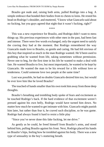Braulio got nude and, raising both arms, pulled Rodrigo into a hug. A simple embrace that bonded their bodies from to chests to loins. He rested his head on Rodrigo's shoulder, and muttered, "I know what Giancarlo said about no fucking, but you guys agreed that night that it wasn't fucking, right?"

\*\*\*\*

This was a new experience for Braulio, and Rodrigo didn't want to mess things up. His previous experiences with other men in the past, had been fast and intense. There were few words exchanged, only the urgent need to satisfy the craving they had at the moment. But Rodrigo remembered the way Giancarlo made love to Braulio, so gentle and caring. He had felt envious of this boy that inspired so much in the man Rodrigo wanted. He'd been used to grabbing what he wanted from life, taking sometimes without permission. Never one to beg, for the first time in his life he wanted to make a deal with fate. He wanted Braulio to live, but most importantly, he wanted to be kept by Giancarlo. He wanted the man to be his reward for a life without love or tenderness. Could someone love two people at the same time?

Lust was possible, he had no doubts Giancarlo desired him too, but would he ever love him like he loved Braulio?

The touched of hands smaller than his own took him away from those deep thoughts.

Braulio's breathing and trembling body spoke of fears and excitement as he touched Rodrigo's back. If the hard evidence of that excitement weren't pressed against his own belly, Rodrigo would have turned him down. No matter how much he wanted to get intimate with him. Giancarlo might punish him later, but rather than fear it, he craved such discipline, so he was game. Rodrigo had always found it hard to resist a little play

"Since you've never done this fake fucking, let me drive."

As gently as he could, he freed himself from Braulio's arms, and stood behind him, pulling Braulio against his front. Next, Rodrigo placed his hands on Braulio's hips, feeling how he trembled against his body. There was a new type of sensuality in the boy's stuttering breath.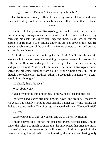Rodrigo instructed Braulio, "Open your legs a little bit."

The friction was totally different than being inside of him would have been, but Rodrigo could do with this, because it still felt better than his hand.

\*\*\*\*

Braulio felt the press of Rodrigo's groin on his back, the sensation overwhelming. Rodrigo ran a hand across Braulio's torso and ended by caressing his cock, the expert grip lingering there. Next, Braulio felt the hardness of Rodrigo's cock sliding under his ass and between his legs. He gasped, unable to control the sound—the feeling so new to him, and beyond any forbidden fantasy.

As Rodrigo pressed his penis against his flesh Braulio felt the wet tip leaving a hot trace of pre-come, nudging the space between his ass and his balls. Before Braulio could adjust to this, Rodrigo placed one hand on his hip and grabbed Braulio's dick with the other. The moment Rodrigo's thumb spread the pre-come dripping from his dick while rubbing the slit, Braulio thought he would come. "Rodrigo, I think it's too much, I'm going to… I can't handle it much longer."

"Go ahead, that's the idea."

"What about you?"

"Nice of you to be thinking of me. For now, be selfish and just feel."

Rodrigo's hand started stroking him, up, down, and around. Repeatedly. He gently but steadily started to fuck Braulio's inner legs while jerking his dick to the same rhythm. Then Rodrigo whispered in his ear. "Do you like it?"

"Oh, yes."

"Close your legs as tight as you can and try to match my rhythm."

Braulio obeyed, and Rodrigo increased his thrusts. Seconds later, Braulio came, the release so much stronger than he anticipated that after the initial spasm of pleasure he almost lost his ability to stand. Rodrigo gripped his hips before shoving himself with more intensity, the movement lasting only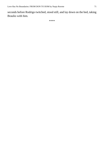seconds before Rodrigo twitched, stood still, and lay down on the bed, taking Braulio with him.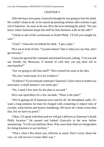#### CHAPTER 9

After the boys were gone, Giancarlo thought he was going to lose his mind. He couldn't sleep at all, so he stayed up planning scheme after scheme to get rid of Santorno. As soon as he saw Nico the next morning he asked, "Do you know where Santorno keeps the stuff he does business with on the side?"

"I think at one of the warehouses in South Philly. I'll tell you tonight for sure."

"Good." Giancarlo sat behind his desk. "I got a plan."

Nico sat in front of him. "Luciano doesn't like it when you say that, and I get nervous."

Giancarlo ignored the comment and leaned forward, asking, "Can you ask our friends, the Mexicans, if instead of cash they can pay their toll in merchandise?"

"Are we going to sell that stuff?" Nico twisted his nose at the idea.

"No, but I need some of it for evidence."

"Evidence? To incriminate someone? Santorno? I don't have to bother our associates, a small amount I can easily get."

"No, I need a few tons for the plan to succeed."

Nico was speechless for a few seconds. "What is the plan?"

"We're getting rid of Santorno once and for all. No bloodshed, sadly. If I want a long sentence he must be charged with conspiring to import tons of cocaine, some heroin and money laundering. We know he's done worse than that, but we have no proof."

"Okay, I'll speak with them and we will get a delivery to Santorno's South Philly location." He paused and looked Giancarlo in the eyes before announcing. "It will cost millions, Boss. Way more than what we charge them for doing business in our territory."

"That's what I like about you, efficient as usual. Don't worry about the cost, we will recover it some other way."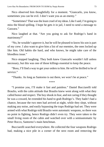Nico observed him thoughtfully for a moment. "Giancarlo, you know, sometimes you can be evil. I don't want you as an enemy."

"Sometimes? That was the least cruel of my ideas. Like I said, I'm going to miss the blood spilling. I hope he gets it in jail, I need to send a message to Gazzara."

Nico laughed at that. "Are you going to ask for Rodrigo's hand in matrimony?"

"No, he wouldn't approve it, but he will be pleased to know his son is part of my crew. I also want to give him a list of our enemies, the ones locked up like him. Old habits die hard, and who knows, he might take care of the bloodless issue."

Nico stopped laughing. They both knew Giancarlo wouldn't kill unless necessary, but this was one of those killings essential to keep the peace.

"Boss, I'll find a way to get your orders to him. He will be thrilled to be of service."

"Thanks. As long as Santorno is out there, we won't be at peace."

\*\*\*\*

"I promise you, I'll make it fast and painless." Daniel Bucciarelli told Braulio, with the calm attitude that Braulio knew went along with what they called honor and respect. The boy shook in fear, and not caring if they thought he was a coward, he extended his hand to grab Rodrigo's. They hadn't had a chance, because the two men had arrived at night, while they slept, without making any noise, and easily bypassing the traps Rodrigo had set. They were armed with what Rodrigo told Braulio were automatic weapons, so there was no point in fighting, hence Rodrigo didn't even try. They were taken to the small living room of the cabin and watched over with a semiautomatic by Peter Rocco, Santorno's main henchman.

Bucciarelli searched everywhere. He collected the four weapons Rodrigo had, making a nice pile in a corner of the next room and removing the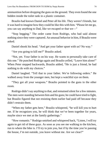ammunition before dropping the guns on the ground. They even found the one hidden inside the toilet tank in a plastic container.

Braulio had known Daniel and Peter all his life. They weren't friends, but it was hard to imagine how they could be like this with him. "Please let me go, you can say anything to Dad, like we escaped or that we—"

"Stop begging." The order came from Rodrigo, who had said almost nothing since they were captured. An unusual behavior in him, if Braulio were asked.

Daniel shook his head. "And get your father upset with us? No way."

"Are you going to kill me?" Braulio asked.

"Not, yet. Your father is on his way. He wants to personally take care of this one." He punched Rodrigo again and Braulio yelled, "Leave him alone!" When Peter stepped backwards, Braulio added, "He is just a friend, he had nothing to do with my choices."

Daniel laughed. "Tell that to your father. We're following orders." He walked away from the younger men, but kept a watchful eye on them.

"They got all your weapons." Braulio pointed to the guns in the other room.

Rodrigo didn't say anything to that, and remained silent for a few minutes. The men were standing between him and his guns; he could have tried to fight, but Braulio figured that not resisting them earlier had paid off because they didn't restrain them.

"When my father gets here," Braulio whispered, "he will kill you to hurt me. If he recognizes you, he will think that we've been together for years, maybe since we met at the family gatherings."

"How romantic." Rodrigo smirked and whispered back, "Listen, I will try again to get rid of these guys. As soon as you see me walking to the kitchen, run to where the bike is. I'll try to join you, but if by the time you're passing the house, I'm not outside, you leave without me. Are we clear?"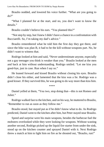Braulio nodded, and lowered his voice further. "What are you going to  $do?$ 

"What I planned for at the start, and no, you don't want to know the details."

Braulio couldn't believe his ears. "You planned this?"

"Not step by step, but I knew I didn't have a chance in a confrontation with Bucciarelli. So, I'm taking my dad's advice."

Braulio remembered what he told him the first day they got there, and since the bike was plan B, it had to be the kill-without-weapons part. No, he didn't want to witness that.

Rodrigo looked at him and said, "Never underestimate anyone, especially not a gay teenager you think is weaker than you." Braulio looked at the men and back at him without understanding. Rodrigo smiled. "Let me kiss you good-bye, just in case. Run when I say so."

He leaned forward and kissed Braulio without closing his eyes. Braulio didn't close his either, and lamented that the kiss was a lie. Rodrigo was a good kisser. If they survived this, he was going to do way more than kiss him.

\*\*\*\*

Daniel yelled at them, "You two, stop doing that—this is not Romeo and Juliet."

Rodrigo walked fast to the kitchen, and on his way, he muttered to Braulio, "Remember to run as soon as they follow me."

Braulio stood, but stayed put as if he didn't know what to do. As Rodrigo predicted, Daniel went to the kitchen after him, but Peter stayed near Braulio.

Speed and surprise were his main weapons, besides the barbecue fuel the mobsters overlooked while they were looking for weapons. Without wasting another second, Rodrigo picked up the liquid fire starter from under the sink, stood up on the kitchen counter and sprayed Daniel with it. Next Rodrigo threw a match at him to light him on fire as he shouted out, "Braulio, run!"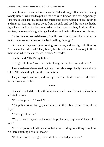Peter hesitated a second as if he couldn't decide to go after Braulio, or stay to help Daniel, who tried to put out the fire by rolling on the floor. Apparently, Peter made up his mind, because he entered the kitchen, fired a shot at Rodrigo and missed. Rodrigo jumped away from the sink, and used the same method to light Peter on fire. As both men tried to help one another, Rodrigo didn't hesitate, he ran outside, grabbing a handgun and their cell phones on his way.

By the time he reached the road, Braulio was coming toward him riding the motorcycle, so he jumped on the back yelling, "Go, go!"

On the road they saw lights coming from a car, and Rodrigo told Braulio, "Let's take the side road." They barely had time to make a turn to get off the main road when the car passed, a black Mercedes.

Braulio said, "That's my father."

Rodrigo told him, "Well, we better hurry, before he comes after us."

They also heard sirens heading toward the cabin, so probably the neighbors called 911 when they heard the commotion.

They changed positions, and Rodrigo rode the old dirt road as if the devil himself were after them.

\*\*\*\*

Giancarlo ended the call with Juliano and made an effort not to show how affected he was.

"What happened?" Asked Nico.

"The police found two guys with burns in the cabin, but no trace of the boys."

"That's good news."

"Yes, it means they are on the run. The problem is, why haven't they called me?"

Nico's expression told Giancarlo that he was hiding something from him. "Is there anything I should know?"

"Well, if I were Rodrigo, I wouldn't have called you either."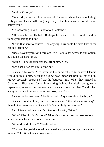"And that's why?"

"Giancarlo, someone close to you told Santorno where they were hiding. Only you can't see it. All I'm going to say is that Luciano and I would never betray you."

"So, according to you, Claudio told Santorno."

"Of course he did. He hates Rodrigo, he has never liked Braulio, and he thinks you belong to him."

"I find that hard to believe. And anyway, how could he have known the cabin's location?"

"Boss, haven't you ever heard of GPS? Claudio has access to our system, he bought the cars for us."

"Damn it! I never expected that from him, Nico."

"Let's set a trap for him. Come on."

Giancarlo followed Nico, even as his mind refused to believe Claudio would do this to him, because he knew how important Braulio was to him. Maybe precisely because of that he betrayed him. When they arrived at Claudio's office they found him sitting behind his desk, doing some paperwork, as usual. In that moment, Giancarlo realized that Claudio had always acted as if he were the acting boss, or a CEO.

As soon as he saw them, Claudio asked, "Any news about the boys?"

Giancarlo said nothing, but Nico commented. "Should we expect any? I thought they were safe in Giancarlo's South Philly warehouse."

As if Giancarlo knew Nico's intentions he said, "Nico!"

"What? Claudio didn't know?" Nico's innocent expression seemed real… almost as much as Claudio's curious one.

"What should I know?" Claudio asked.

"That we changed the location where the boys were going to be at the last minute." This time Giancarlo answered.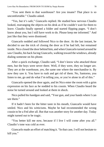"You sent them to that warehouse? Are you insane? That place is so uncomfortable." Claudio asked.

"Yes, but it's safe," Giancarlo replied. He studied how nervous Claudio looked, rearranging the objects on his desk as if he couldn't wait for them to leave. Claudio finally opened a folder and started flipping pages. "I don't know about you, but I still have work to do. Please keep me informed." And just like that they were dismissed.

Giancarlo nodded and followed Nico to the door. At the last instant, he decided to use the trick of closing the door as if he had left, but remained inside. Nico closed the door behind him, and when Giancarlo turned around he saw Claudio, his back facing Giancarlo, walking toward the windows, already dialing someone on his phone.

After a quick exchange, Claudio said, "I don't know who attacked those men, but the boys were never there. Well, if they were, they no longer are. They are at the warehouse, yes, the same one where the merchandise is. By now they saw it. You have to rush and get rid of them. No, Santorno, you listen to me, go and do what I'm telling you, or you're alone in all of this."

Giancarlo opened the door again, and let Nico enter the room with a grim expression on his face as he nodded to his cousin. When Claudio heard the noise he turned around and looked at them in shock.

Nico pulled his handgun and said, "Your gun, and your hands where I can see them."

If it hadn't been for the bitter taste in his mouth, Giancarlo would have smiled. Nico and his witticisms. Maybe he had recommended the wrong cousin to be a Fed after all. But that was another story for another day. Today might turned out to be tragic.

"You better kill me now, because if I live I will come after you all." Claudio's tone was cold as ever.

Giancarlo made an effort of matching it. "In that case, I will not hesitate to kill you."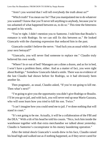"Aren't you worried that I will tell everybody the truth about us?"

"Which truth? You mean our lie? That you manipulated me to do whatever you wanted? I know that you'll never tell anything to anybody, because you're too ashamed of what happened between us, to do so." This time the bitterness escaped in his words.

"You're right. I didn't mention you to Santorno. I told him that Braulio's romance is with Rodrigo. So we can still fix this between us." He looked Giancarlo with the charming expression that seduced him in the past.

Giancarlo couldn't believe the nerve. "And fuck you as usual while I await your next betrayal?"

"Giancarlo, you will never find someone to replace me." Claudio truly believed his own words.

"Where? In or out of bed? Managers are a dime a dozen, and as for in bed, I won't have a problem there, either. And as a matter of fact, you were right about Rodrigo." Somehow Giancarlo faked a smile. There was no evidence of the lust Claudio had shown before for Rodrigo, so it had obviously been another lie.

Then pragmatic, as usual, Claudio asked, "If you're not going to kill me. Then what's next?"

"I'm going to give you the opportunity you didn't give Rodrigo or Braulio. I'll let you go to jail, and with luck, you will never end up near Mario Gazzara, who will soon learn how you tried to kill his son. Twice."

"I can't imagine how you could send me to jail. I've done nothing that will stand in court."

"It's not going to be me. Actually, it will be a collaboration of the FBI and the DEA." With a tilt of his head he told his cousin. "Nico, lock him inside the warehouse together with that extra merchandise we talked about yesterday. Claudio is Santorno's coconspirator in his money laundering operation."

After the initial shock Giancarlo's words drew in his face, Claudio raised his head high and walked out as if nothing happened, as if they never cared for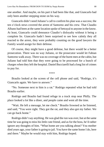one another. And maybe, on his part it had been like that, and Giancarlo had only been another stepping stone on his way.

Giancarlo didn't need Juliano's call to confirm his plan was a success; the ten o'clock news covered the arrest of Santorno and his crew. That Claudio Albano had been at the same location spoke of betrayal to anyone in the know. At least, Giancarlo could denounce Claudio's disloyalty without it being a complete lie. Giancarlo hadn't been surprised to see how calmly they all reacted to the arrest, they were probably counting on the good lawyers the Family would assign for their defense.

Of course, they might have a good defense, but there would be a better prosecution. There was no way Juliano, or the prosecutor would let Fabian Santorno walk away. There was no coverage of the burnt men at the cabin, but Juliano had told him that they were going to be processed for a bunch of charges when they left the hospital. Daniel Bucciarelli had a long list of crimes to pay for.

\*\*\*\*

Braulio looked at the screen of the cell phone and said, "Rodrigo, it's Giancarlo again. We have to answer."

"No. Someone next to him is a rat." Rodrigo repeated what he had told Braulio earlier.

Rodrigo and Braulio had found refuge in a truck stop near Philly. The place looked a lot like a diner, and people came and went all the time.

"Wait. He left a message, let me check." Braulio frowned as he listened, and said, "You were right. They got the rat, and they also got my father. We can go back home."

Rodrigo didn't say anything. He was glad the run was over, but at the same time he was going to miss his little cute friend, and as for the boss, he'd rather ignore any thoughts of him. "What home are you talking about? You mother died years ago, your father is going to jail. You have the same home I do, here and there." Maybe he would stay with him, Rodrigo hoped.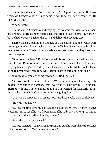Braulio faked a smile. "Welcome back, Mr. Optimism. Listen, Rodrigo, wherever Giancarlo lives, is my home. And I think you're welcome too. He likes you a lot."

"Yeah, right."

Braulio called Giancarlo and they agreed to wait for Nico to take them back home. Rodrigo almost felt like leaving Braulio to go "home" by himself, but he had to report back to the boss and deliver the package safe.

There was a TV behind the counter, and the cashier and the waiter were listening to the local news, where the arrest of Fabian Santorno was breaking news everywhere. The boys sat at a table a few feet away, but they heard and saw the report.

"Braulio, come here." Rodrigo opened his arms in an unusual gesture of warmth, and Braulio didn't waste a second. He was inside the embrace and burying his face against Rodrigo's neck as soon as he heard the invite. Then, as he remembered where they were, Braulio sat up straight in his chair.

"I know what you are going through…" Rodrigo said.

"No, you don't." Braulio explained. "Your father is a man that everybody missed. My father is someone that everyone will be happy is in prison. Starting with me. I'm not sad for that, but I'm worried for Giancarlo. If my father talks, the whole Condottieri family is going down."

"That won't happen, I can assure you." Rodrigo spoke with confidence.

"How do you know?"

"During the first days my dad was locked up, there were a bunch of guys watching him to see if he was flipping, and if he had shown any sign of ratting out, they would have killed him right there."

"But others have succeeded."

Rodrigo insisted, "That was in the past, I'm sure he won't have the chance if he chooses to talk. Trust me on that one."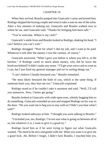#### CHAPTER 10

When they arrived, Braulio jumped into Giancarlo's arms and kissed him. Rodrigo skipped the kissing couple and went to take a seat on one of the sofas. After a few minutes of making out, Giancarlo and Braulio walked over to where he sat, and Giancarlo said, "Thanks for bringing him back safe."

"You're welcome. Where is my cash?"

Giancarlo's smile froze and Braulio looked at Rodrigo, shaking his head. "I can't believe you can't wait."

Rodrigo shrugged. "Wait for what? I did my job, and I want to be paid. Whatever is left after the money I owe the casinos, of course."

Giancarlo answered, "What I gave you before is where you left it, in the kitchen." If Rodrigo cared so much about money, why did he leave the briefcase behind? It didn't make any sense. "I'll get your extra cash as soon as I can, but I just fired my general manager and we're sorting things out."

"I can't believe Claudio betrayed you." Braulio remarked.

"He most likely betrayed the both of you, which is the same thing. If someone hurts you, they hurt me too." Giancarlo explained.

Rodrigo stood as if he couldn't take it anymore and said, "Well, I'll call you tomorrow. Now, I better get going."

Braulio looked at Giancarlo with wide-open eyes, silently begging him to do something. Giancarlo extended an arm and stopped Rodrigo on his way to the door. "Do you want me to beg you to stay with us? Didn't you hear what I said?"

Rodrigo looked sideways at him. "I thought you were talking to Braulio."

"I included you, too, Rodrigo. I'm not sure what is going on between all of us, but whatever it is, I want to give it a good try."

Rodrigo faced him as if he were trying to figure out what Giancarlo wanted. "No need to be nice and gentle with me. What you want is to give me a good fuck. Ah. Before I forget, I didn't fuck Braulio, I touched him yes,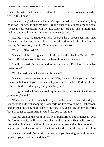because he asked and because I couldn't help it, but his ass is as intact as when we left this house."

Giancarlo laughed because Braulio's expression didn't announce anything good for Rodrigo. In that moment Braulio pushed his upper arm and said, "What is your obsession with my ass, Rodrigo? Stop it. This is more than fucking and you know it. If you want to leave, just do it."

Rodrigo stared at Braulio in awe because he'd never seen him mad. Giancarlo put his arms around both of their shoulders and said, "I understand Rodrigo's obsession, Braulio. You have such a nice ass."

"You too, Giancarlo?"

Giancarlo sighed and glanced at Rodrigo and then back at Braulio. "The truth is, Rodrigo's ass is the one I've been thinking a lot about."

Braulio pushed him again, and asked defiantly. "Rodrigo, do you feel better now?"

"No. I already know he wants to fuck me."

Giancarlo took a moment to clarify. "Yes, I want to fuck you, but after I spank the hell out of you. Hero and all, you're still a badass, Rodrigo. I can't believe I bothered doing anything nice for you."

Rodrigo stared at him and asked, squinting his eyes, "What nice thing are you talking about?"

"Remember our last talk before you hit the road? I considered your suggestions and went shopping." Giancarlo walked toward the guest bedroom and opened the door, "I got a lot of stuff that I have no idea of how it works, but I'm eager to learn. And I would like you to join me."

Rodrigo entered the room. It had been transformed into a dungeon, even the formerly white walls were now black and burgundy. He touched some of the devices in there. He didn't know how to use them either, but the smell of leather and the shape of some of the toys on the different shelves excited him.

Giancarlo asked, "What do you say, are you hanging around here? Or going to your usual here and there?"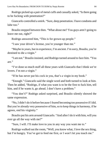Rodrigo picked up a pair of metal cuffs and casually asked, "Is there going to be fucking with penetration?"

Giancarlo controlled a smirk. "Sure, deep penetration. I have condoms and lube too."

Braulio stepped between then. "What about me? You guys aren't going to leave me out, right?"

Rodrigo answered him, "This is for grown-up people."

"I saw your driver's license, you're younger than me."

"Maybe in years, but in experience, I'm ancient. I'm sorry, Braulio, you're destined to die a virgin."

"I am not." Braulio insisted, and Rodrigo turned around to face him. "You are."

"I've done so much stuff all these years with Giancarlo that I think we're lovers. I'm not a virgin."

"If he has never put his cock in you, that's a virgin in my book."

"Enough." Giancarlo said the single word and both turned to look at him. Then he added, "Rodrigo, if what you want is to be the first to fuck him, tell him, and if he wants it, go ahead. I don't have a problem."

"You don't?" Rodrigo asked surprised, and Braulio silently showed the same expression.

"No, I didn't do it before because I feared becoming too possessive if I did. But you're already very possessive of him, so to keep things in harmony, if he agrees, end his virginity."

Braulio put his arm around Giancarlo. "And after I do it with him, will you ever go all the way with me?"

"Sure, I will. I'll make love to you in any way you want me to."

Rodrigo walked out the room, "Well, you know what, I love the sex thing, but I'm hungry. You've got to feed me first, or I won't let you touch me."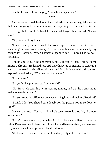Braulio followed him, singing, "Somebody is jealous."

\*\*\*\*

As Giancarlo closed the door to their makeshift dungeon, he got the feeling that this was going to be more intense than anything he ever faced in his life.

Rodrigo held Braulio's hand for a second longer than needed. "Please stay."

"No, pain isn't my thing."

"It's not really painful, well, the good type of pain, I like it. This is something I always wanted to try." He looked at his hand, an unusually shy gesture for Rodrigo. "When Giancarlo spanked me, I knew I had to do it seriously."

Braulio smiled as if he understood, but still said, "I pass. I'll be in the master bedroom." He leaned forward and whispered something in Rodrigo's ear that provoked a grin. Giancarlo watched Braulio leave with a thoughtful expression and asked, "What was all that about?"

"It's a secret"

"So you're keeping secrets from me, eh?"

"No, Boss. He said that he missed my tongue, and that he wants me to make love to him later."

"Do you know the difference between making love and fucking, Rodrigo?"

"I think I do. You should care deeply for the person you make love to, right?"

Giancarlo agreed. "Yes, but in Braulio's case, he would probably like more tenderness."

"I don't know about that, but when I had to choose who lived back at the cabin, Braulio or me, I chose him. I knew I would have survived, but there was only one chance to escape, and I handed it to him."

"Welcome to the club. I've never loved anybody until I met him."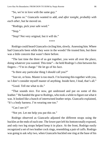"So, we're in love with the same guy."

"I guess so." Giancarlo wanted to add, *and after tonight, probably with each other*, but he moved on.

"Rodrigo, pick your safe word."

"Stop."

"Stop? Not very original, but it will do."

\*\*\*\*

Rodrigo could heard Giancarlo circling him, slowly. Assessing him. Where had Giancarlo been while they were in the woods? He trusted him, but there was a little concern that wasn't there before.

"The last time the three of us got together, you were all over the place, doing whatever you wanted. This time"—he held Rodrigo's chin between his fingers—"I'm in charge." He let go of his face.

"Is there any particular thing I should call you?"

"Just sir, or boss. Master is too much. I'm learning this together with you, so I don't consider myself master of anything. Inside here, I lead, that's all."

"Good. Tell me what to do."

"That sounds nice. For now, get undressed and put on some of this leather." He handed the gear to Rodrigo, who took a while to figure out what it was. It looked like a bunch of intertwined leather strips. Giancarlo explained, "It's a body harness. I'm wearing one too."

"Can I see it?"

"Not yet. Let me help you put this on."

Rodrigo observed as Giancarlo adjusted the different straps using the buckles at the ends of each one. The lower part left his bottom totally exposed, and only two leg straps helped keep it in place. At the front, Rodrigo easily recognized a set of two leather cock rings, resembling a pair of cuffs. Rodrigo was going to ask why two, when Giancarlo buckled one ring at the base of his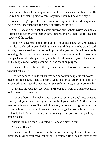cock and another all the way around the top of his sack and his cock. He figured out he wasn't going to come any time soon, but he didn't say it.

When Rodrigo spent too much time looking at it, Giancarlo explained. "We release one first, then the other, at different times."

Next, Giancarlo put a set of leather cuffs on him, at both wrists and ankles. Rodrigo had never worn leather cuffs before, and he liked the feeling and security of the leather.

Finally, Giancarlo stood in front of him holding a leather collar that had a short leash. He hadn't been kidding when he said that in here he would lead. Rodrigo was amazed at how he could put all that gear on him without really touching him. That changed when the last piece was brought out—nipple clamps. Giancarlo's fingers briefly touched his skin as he adjusted the clamps on his nipples and Rodrigo wondered if he did it on purpose.

Giancarlo looked him in the eyes and asked, "Do you like what I put together for you?"

Rodrigo nodded, filled with an emotion he couldn't explain with words. It made him feel special that Giancarlo went this far to satisfy him, and now, what Rodrigo wanted the most was to please him. "Yes, Boss. Very much."

Giancarlo moved a few feet away and stopped in front of a leather seat that looked more like an ottoman.

"Get over here, and kneel on this. I want your ass in the air, knees bent and spread, and your hands resting next to each of your ankles." At first, it was hard to understand what Giancarlo intended, but once Rodrigo assumed the position, his cock went hard inside the leather rings. He would be so exposed with only the leg straps framing his bottom, a perfect position for spanking or being fucked.

"Beautiful, more than I expected." Giancarlo praised him.

"Thanks, Boss."

Giancarlo walked around the furniture, admiring his creation, and discarded his robe by throwing it over a nearby table. Rodrigo understood why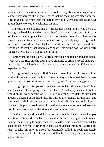he waited until then to show himself. He looked magnificent, wearing a similar leather body harness, the only difference that the cock ring was made of metal. If Rodrigo had seen him from the start, there was no way Giancarlo could have gotten those two leather cock rings on him.

Giancarlo picked something off the leather bench, and it was then that Rodrigo realized that it had restraints that Giancarlo attached each of his cuffs to. An extra leather piece he hadn't noticed before forced his ankles to stay spread. Once all four cuffs were buckled down, the only way Rodrigo could move was forward and then backward until he could sit, his ass and balls resting on the leather that kept his legs apart. This sitting position was gently suggested by a tug of the leash on his collar.

For the first time in his life, Rodrigo enjoyed being tied up and dominated. It was also the first time he didn't have anything to argue or rebel against. It felt so right, and looking at Giancarlo, it seemed almost as if he was an experienced Dom.

Rodrigo raised his face to find Giancarlo standing right in front of him, holding his erect cock at his lips. "The other day you bragged that you were good at this. Do you want to show me how good?" Giancarlo suggested.

Rodrigo opened his lips to accept the uncut cock inside his mouth. Without using his hand, it was going to be a real challenge to display his talents, but he would enjoy every second of it. He used his tongue to lick the pre-come already gathering at the head, then he pushed the foreskin further back and continued to flick his tongue over the head and slit. He ventured a look at Giancarlo, hoping to see him lost in passion, but even as he breathed hard and fast, his eyes were set on Rodrigo and what he was doing.

He alternated sucking and licking, and at one point he left the cock to pay attention to Giancarlo's balls. He played with each one, again sucking and licking, then went up to engulf the head—and this time Giancarlo moaned. He used the leash to pulled Rodrigo closer, going deeper into him. Rodrigo got ready to take him into his throat, but Giancarlo pulled his cock completely from his mouth, and said, "Lean forward like the first time, it's time for us to enjoy this seat."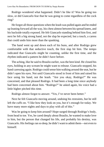Rodrigo wondered what happened. Didn't he like it? Was he going too slow, or did Giancarlo fear that he was going to come regardless of the cock ring?

He forgot all those questions when the leash was pulled again and he ended up leaning forward all the way, his chest almost between his spread knees, and his backside totally exposed. He felt Giancarlo standing behind him first, and next he felt a big strong hand, not the slap he expected, but a touch, a caress that could undo him more than the spanking.

The hand went up and down each of his buns, and after Rodrigo grew comfortable with that seductive touch, the first slap hit him. The tempo indicated that Giancarlo might be counting, unlike the first time, and the rhythm indicated a pattern he didn't have before.

The aching, like he said to Braulio earlier, was the best kind. He closed his eyes, holding in any scream he might want to release. Giancarlo stopped, his hand caressing again. Rodrigo could sense him walking around the seat, but he didn't open his eyes. Not until Giancarlo stood in front of him and raised his face using his hand, not the leash. "Are you okay, Rodrigo?" He was concerned, and that pleased Rodrigo. It had been a long time since anybody had been concerned about him. "Rodrigo?" he asked again, his voice had a little higher pitched this time.

Rodrigo almost forgot to answer. "Yes, I've never been better."

Next he felt Giancarlo moving around, undoing his restraints, but he still left the cuffs on. "I like how they look on you, but it's enough for today. We have many more nights and days to play with all of this."

Was he going to keep him around? Hope surged through Rodrigo's body, from head to toe. Yes, he cared deeply about Braulio, he wanted to make love to him, but the person that changed his life, and probably his destiny, was Giancarlo. His feelings ran so deep, he didn't want to admit them—not even to himself.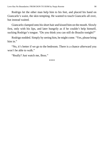Rodrigo let the other man help him to his feet, and placed his hand on Giancarlo's waist, the skin tempting. He wanted to touch Giancarlo all over, but instead waited.

Giancarlo clamped onto his short hair and kissed him on the mouth. Slowly first, only with his lips, and later hungrily as if he couldn't help himself, sucking Rodrigo's tongue. "Do you think you can still do Braulio tonight?"

Rodrigo nodded. Simply by seeing him, he might come. "Yes, please bring him in."

"No, it's better if we go to the bedroom. There is a chance afterward you won't be able to walk."

"Really? Just watch me, Boss."

\*\*\*\*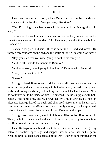#### CHAPTER 11

They went to the next room, where Braulio sat on the bed, nude and obviously waiting for them. "Are you okay, Rodrigo?"

"Yes, I'm doing so well— guess who is going to lose his virginity right away?"

He pumped his cock up and down, and sat on the bed, but as soon as his backside made contact he stood up. "Oh. This time you did better than before, Giancarlo."

Giancarlo laughed, and said, "It looks better too. All red and sweet." He threw a few condoms on the bed and the bottle of lube. "I'm going to watch."

"Hey, you said that you were going to do it to me tonight."

"And I will. First do the honors to Braulio."

"And you? Are you not going to touch me?" Braulio asked Giancarlo.

"Sure, if you want me to."

"Please."

Rodrigo kissed Braulio and slid his hands all over his abdomen, the muscles nicely shaped, not a six-pack, but who cared, he had a really lean body, and Rodrigo had enjoyed touching him so much back in the cabin. Now he couldn't wait to be inside of him. He pinched Braulio's nipples with both hands at the same time, and was rewarded by Braulio arching his neck in pleasure. Rodrigo licked his neck, and showered kisses all over his torso. At one point, his eyes met Giancarlo's, who simply smiled, like he approved, before Giancarlo leaned forward and kissed Braulio on the lips.

Rodrigo went downward, a trail of nibbles until he reached Braulio's cock. There, he licked the cut head and started to suck on it, looking for a reaction, but Braulio and Giancarlo continued kissing.

Then Rodrigo remembered what drove Braulio insane. Rodrigo lay between Braulio's open legs and cupped Braulio's ball sac in his palm. Keeping Braulio's balls and cock out of the way, Rodrigo concentrated on the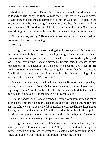rosebud of muscle between Braulio's ass cheeks. Using his head to keep the balls and cock up, he spread Braulio's ass cheeks until his tongue could access Braulio's asshole and then he started to flick his tongue over it. He didn't need to see what Braulio was doing, because he could hear his moans and his encouragement. He continued to lick him that way, until he felt Giancarlo's hand sliding into the crease of his own buttocks searching for his entrance.

"It's lube time, Rodrigo" He said with a deep voice that indicated the high excitement he was experiencing.

"Yes, Boss."

Rodrigo tried to concentrate on getting the slippery gel onto his fingers and into Braulio, carefully and slowly, pushing a single finger in and out. But it was hard concentrating on another's asshole when his own was being fingered, too. Besides, every time Giancarlo moved his fingers inside his crease, he also touched his bruised backside, and the sensations became hard to ignore. He finally got two fingers into Braulio, curving them he touched his sweet spot. Braulio shook with pleasure and Rodrigo twisted his fingers, looking behind him he said to Giancarlo, "I'm going in."

Giancarlo moved away to let him kneel between Braulio's wide-open legs. Rodrigo placed each of Braulio's feet over his shoulders and looked at his eager expression. "Braulio, at first it will bother you, even hurt, but after a few minutes, it will be okay. Let me know if you can't take it."

Braulio nodded, and Giancarlo handed Rodrigo a condom, which he rolled over his cock before placing the head at Braulio's entrance, pushing forward past the sphincter. Braulio grunted, but quickly encouraged him to keep going. Rodrigo went in and waited until Braulio moved his hips, then Rodrigo pulled out almost completely before going back in and starting a rhythm. Then he felt Giancarlo behind him, asking, "Do you want me now?"

Rodrigo hesitated for a second. He'd never done something like that, but if it was possible, of course he wanted it. "Oh, yes," he muttered through the intense pleasure of how Braulio grasped his cock. He had forgotten the cock rings, although in that instant he felt grateful for having them on.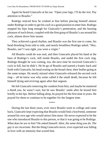Again he heard Giancarlo at his ear. "Open your legs, I'll do the rest. Pay attention to Braulio."

Rodrigo noticed how he winked at him before placing himself almost under Rodrigo in order to get his cock in a good position to enter him. Rodrigo stopped his hips long enough for Giancarlo's penetration, and the burning pleasure of each thrust, coupled with the firm grasp of Braulio's ass around his cock, almost drove him insane.

They achieved a good rhythm, and Braulio was the first one to come, his head thrashing from side to side, and nearly breathless Rodrigo asked, "Hey, Braulio, see? I was right, you were a virgin."

All Braulio could do was nod, and then Giancarlo placed his hand at the base of Rodrigo's cock, still inside Braulio, and undid the first cock ring. Rodrigo thought he was coming, too, the next time he received Giancarlo's cock in full, but he didn't. He let go of Braulio and started a frantic back and forth with Giancarlo, his head resting on the broad chest, their bodies going at the same tempo. He nearly missed when Giancarlo released the second cock ring— all he knew was why some called it the small death, because he felt himself dying and reviving again after that orgasm.

He felt Giancarlo removing the condom from him, and maybe he muttered a *thank you*, he wasn't sure, but he saw Braulio' smile after he kissed him briefly in the lips. Before falling sleep, he prayed for the first time in years. He prayed for them to continue to be together for the longest time.

\*\*\*\*

During the last three years, ever since Braulio went to college and came back, Giancarlo kept expecting that Braulio would find a boyfriend, someone around his own age who would attract him more. He never expected to be the one who introduced Braulio to this person, or that it was going to be Rodrigo. *What does he see in him?* He asked himself. *Idiot, the same thing you do. The guy is sex incarnate.* But the thing Giancarlo never, ever expected was falling in love with an intensity that scared him.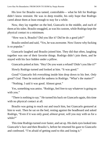His love for Braulio was tamed, controllable— what he felt for Rodrigo didn't know restraint. He was in deep trouble, his only hope that Rodrigo cared about them at least enough to stay for a while.

Now, they lay together on the bed, Giancarlo in the middle, and each of them at hissides. Braulio snuggled, as was his custom, while Rodrigo kept the physical contact to a minimum.

"How was it, Braulio? Did you like it? Did he do a good job?"

Braulio smiled and said, "Yes, he was awesome. Now I know why fucking is so popular."

Giancarlo laughed and Braulio joined him. They did that often, laughing together was one of their favorite things. Rodrigo didn't join them, and he stayed with his face hidden under a pillow.

Giancarlo poked at him. "Hey! Do you want a refund? Didn't you like it?"

Slowly Rodrigo turned and looked at him. "It was good."

*Good?* Giancarlo felt everything inside him drop down to his feet. *Only good? God.* Then he noticed the sadness in Rodrigo. "What's the matter?"

"Nothing. I said it was good. Almost great."

Yes, something was amiss. "Rodrigo, feel free to say whatever is going on with you."

"There is nothing to say." He turned his back on Giancarlo again, this time with no physical contact at all.

Braulio was going to reach out and touch him, but Giancarlo gestured at him to wait. Then he sat on the bed, resting against the headboard and asked Rodrigo, "Even if it was only *good, almost great*, will you stay with us for a while?"

This time Rodrigo turned over faster, and sat up. His dark eyes looked into Giancarlo's face and then Braulio's, before he returned his gaze to Giancarlo and confessed. "I'm afraid of getting used to this and losing it."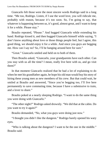Giancarlo felt those were the most sincere words Rodrigo said in a long time. "Me too, Rodrigo. Listen, if I use the word love, you will ridicule me, probably with reason, because it's too soon. So, I'm going to say, that whatever is happening between us, it's good, almost great, and I want to keep it for a while. Please stay."

Braulio repeated, "Please." And hugged Giancarlo while extending his hand. Rodrigo kissed it, and then hugged Giancarlo himself while saying, "I don't know anything about love or those things people feel, but I agree, this good thing, we should enjoy it for a while. And since you guys are begging me. How can I say no? So, I'll be hanging around here for sure."

"Great." Giancarlo smiled and held on to both of them.

Then Braulio asked, "Giancarlo, your grandparents have each other. Can you stay with us all the time? I mean, really live here with us, and go visit them?"

In that moment Giancarlo realized that he had a lot of explaining to do when he met his grandfather again, he hope his old man would buy his story of hiring these young men as new members of his crew. But that could wait, he smiled at Braulio and answered, "Since you're begging too, I'll live here permanently to save commuting time, because I have a submissive to train, and a lover to share."

Braulio poked at a nearly sleeping Rodrigo. "I want to do the same thing you were doing with Giancarlo."

"The other night?" Rodrigo asked drowsily. "We did that at the cabin. Do you want to try it again?"

Braulio demanded, "No, what you guys were doing just now."

"I thought you didn't like the dungeon." Rodrigo barely opened his wary eyes.

"Who is talking about the dungeon? I want to be the one in the middle." Braulio said.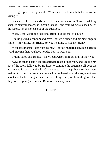Rodrigo opened his eyes wide. "You want to fuck me? Is that what you're saying?"

Giancarlo rolled over and covered his head with his arm. "Guys, I'm taking a nap. When you know who is going to take it and from who, wake me up. For the record, my asshole is out of the equation."

"Sure, Boss, we'll be practicing. Braulio under me, of course."

Braulio picked a condom and gave Rodrigo a nudge and his most angelic smile. "I'm waiting, my friend. So, you're going to ride me, right?"

"You little monster, stop pushing me." Rodrigo muttered between his teeth. "And give me that, you have no idea how to wear one."

Braulio stood and grinned. "No? Get down on all fours and I'll show you."

"Give me that, I said!" Rodrigo tried to reach him in vain, and Braulio ran out of the room followed by Rodrigo to continue the argument all over the apartment. It took a while for Giancarlo to fall asleep, because they were making too much noise. Once in a while he heard what the argument was about, and the last thing he heard before falling asleep while smiling, was that they were flipping a coin, and Braulio won every time.

### **THE END**